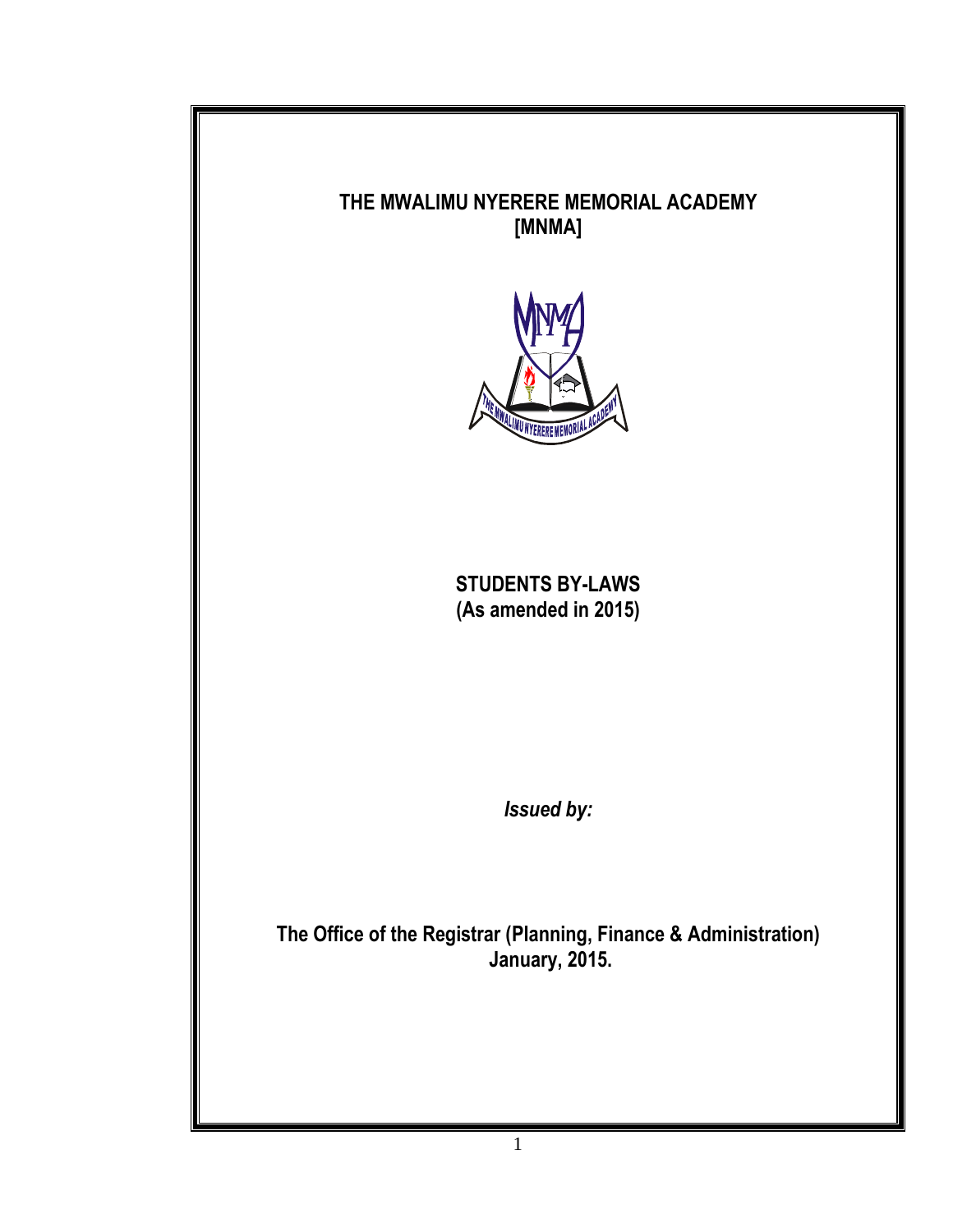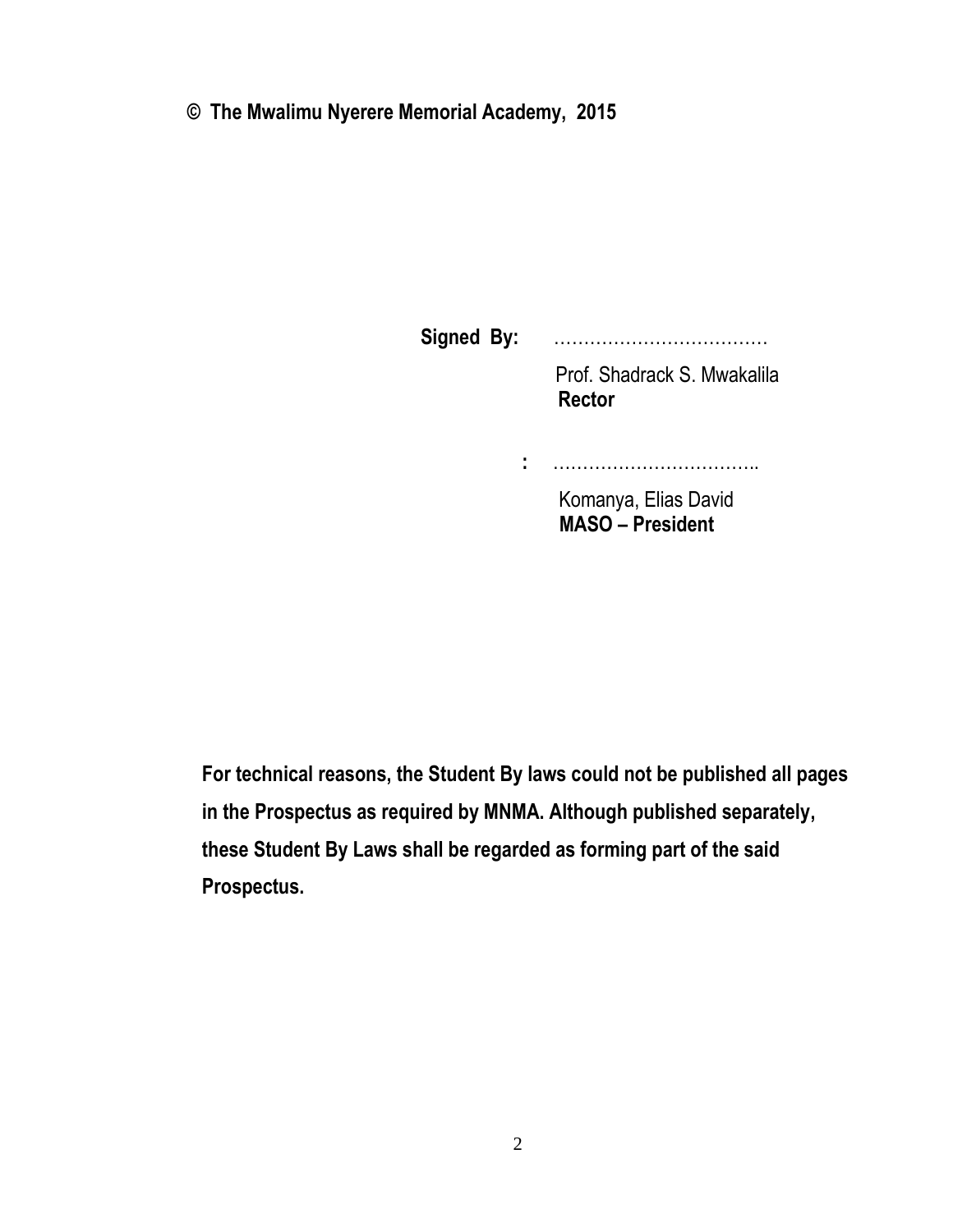**© The Mwalimu Nyerere Memorial Academy, 2015**

 **Signed By:** ……………………………… Prof. Shadrack S. Mwakalila  **Rector :** ……………………………..

> Komanya, Elias David  **MASO – President**

 **For technical reasons, the Student By laws could not be published all pages in the Prospectus as required by MNMA. Although published separately, these Student By Laws shall be regarded as forming part of the said Prospectus.**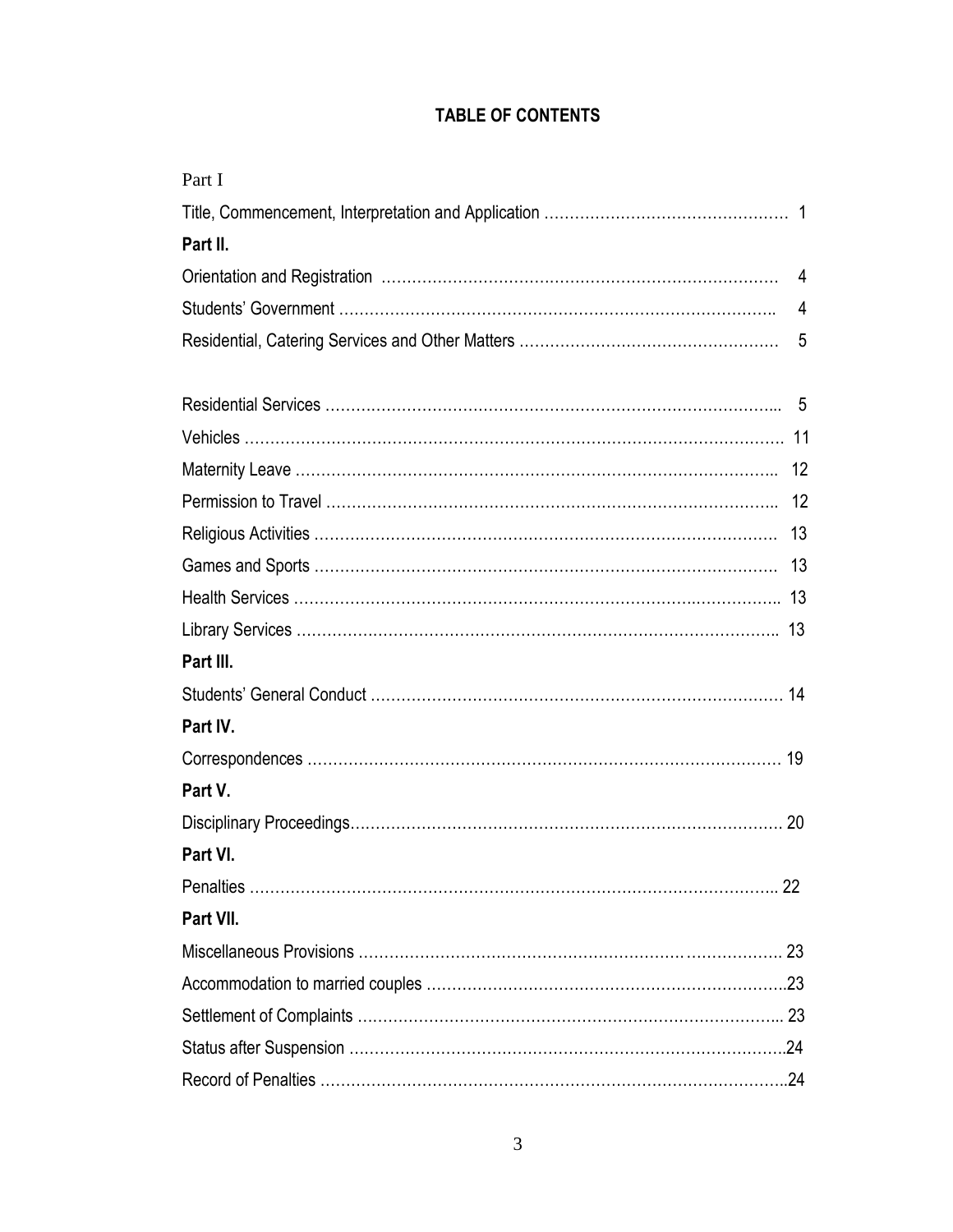# **TABLE OF CONTENTS**

| Part I    |   |
|-----------|---|
|           |   |
| Part II.  |   |
|           |   |
|           |   |
|           | 5 |
|           |   |
|           |   |
|           |   |
|           |   |
|           |   |
|           |   |
|           |   |
|           |   |
| Part III. |   |
|           |   |
| Part IV.  |   |
|           |   |
| Part V.   |   |
|           |   |
| Part VI.  |   |
| 22        |   |
| Part VII. |   |
|           |   |
|           |   |
|           |   |
|           |   |
|           |   |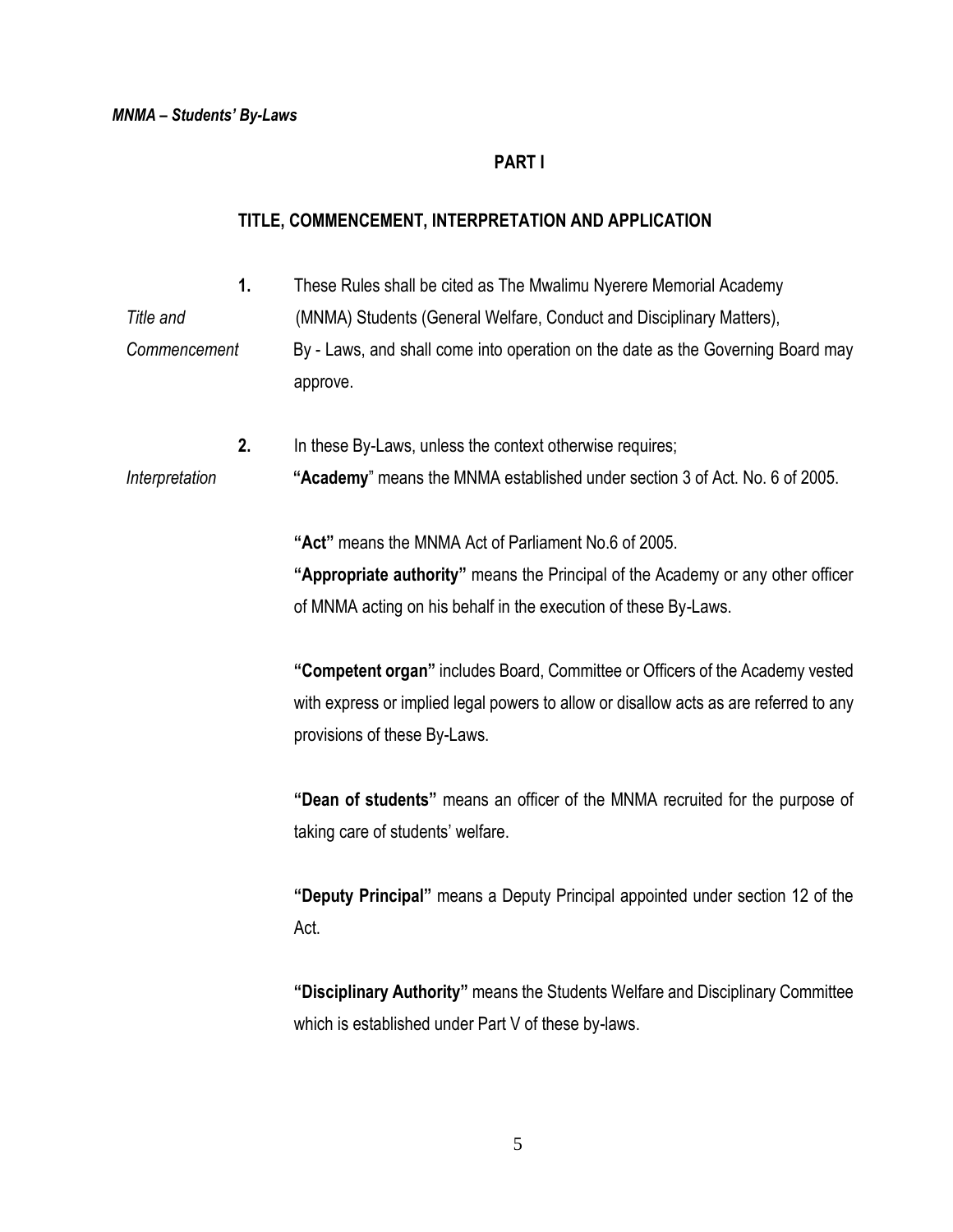### **PART I**

### **TITLE, COMMENCEMENT, INTERPRETATION AND APPLICATION**

- **1.** These Rules shall be cited as The Mwalimu Nyerere Memorial Academy
- *Title and* (MNMA) Students (General Welfare, Conduct and Disciplinary Matters), *Commencement* By - Laws, and shall come into operation on the date as the Governing Board may approve.
- **2.** In these By-Laws, unless the context otherwise requires; *Interpretation* **"Academy**" means the MNMA established under section 3 of Act. No. 6 of 2005.

**"Act"** means the MNMA Act of Parliament No.6 of 2005.

**"Appropriate authority"** means the Principal of the Academy or any other officer of MNMA acting on his behalf in the execution of these By-Laws.

**"Competent organ"** includes Board, Committee or Officers of the Academy vested with express or implied legal powers to allow or disallow acts as are referred to any provisions of these By-Laws.

**"Dean of students"** means an officer of the MNMA recruited for the purpose of taking care of students' welfare.

**"Deputy Principal"** means a Deputy Principal appointed under section 12 of the Act.

**"Disciplinary Authority"** means the Students Welfare and Disciplinary Committee which is established under Part V of these by-laws.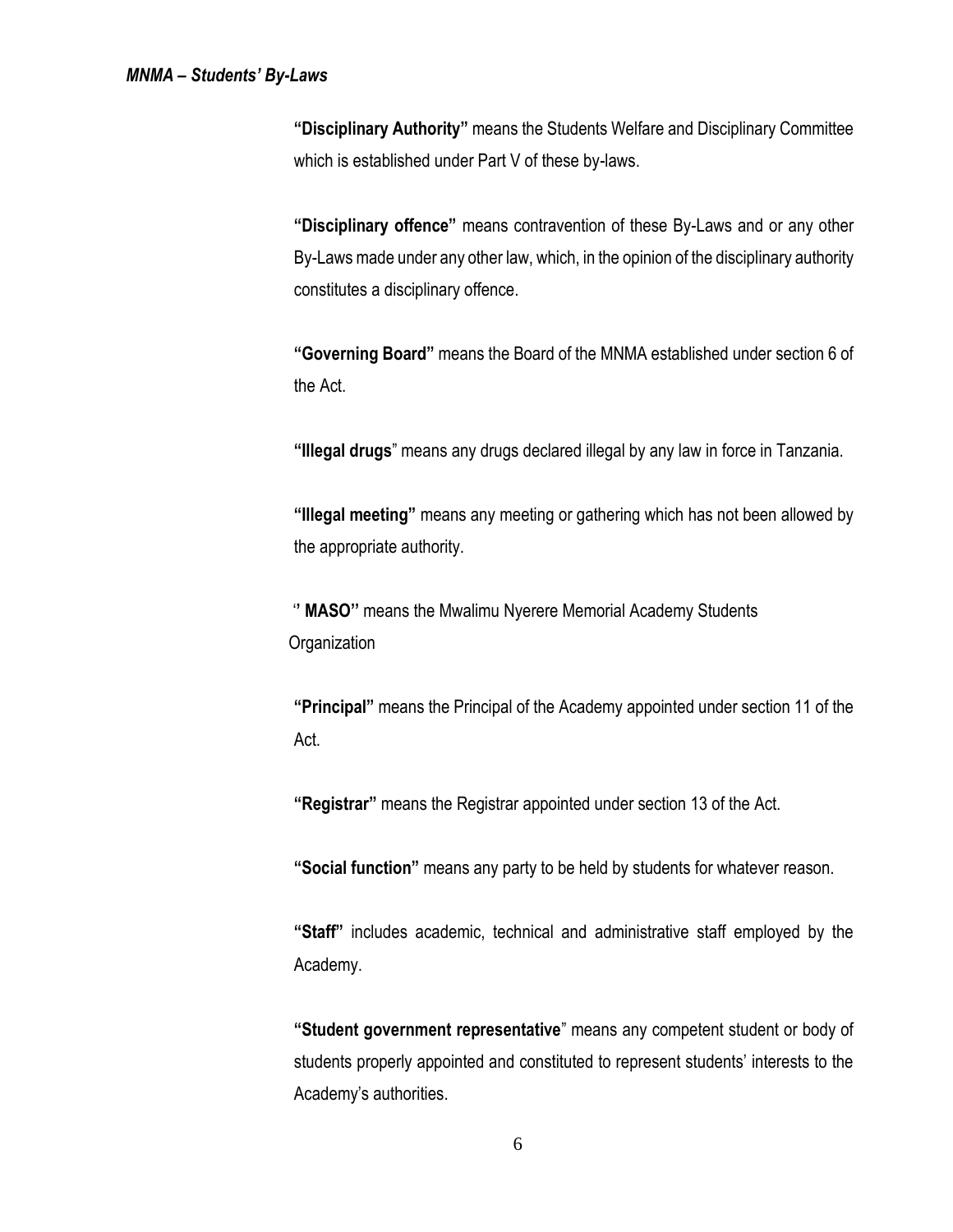**"Disciplinary Authority"** means the Students Welfare and Disciplinary Committee which is established under Part V of these by-laws.

**"Disciplinary offence"** means contravention of these By-Laws and or any other By-Laws made under any other law, which, in the opinion of the disciplinary authority constitutes a disciplinary offence.

**"Governing Board"** means the Board of the MNMA established under section 6 of the Act.

**"Illegal drugs**" means any drugs declared illegal by any law in force in Tanzania.

**"Illegal meeting"** means any meeting or gathering which has not been allowed by the appropriate authority.

 '**' MASO''** means the Mwalimu Nyerere Memorial Academy Students **Organization** 

**"Principal"** means the Principal of the Academy appointed under section 11 of the Act.

**"Registrar"** means the Registrar appointed under section 13 of the Act.

**"Social function"** means any party to be held by students for whatever reason.

**"Staff"** includes academic, technical and administrative staff employed by the Academy.

**"Student government representative**" means any competent student or body of students properly appointed and constituted to represent students' interests to the Academy's authorities.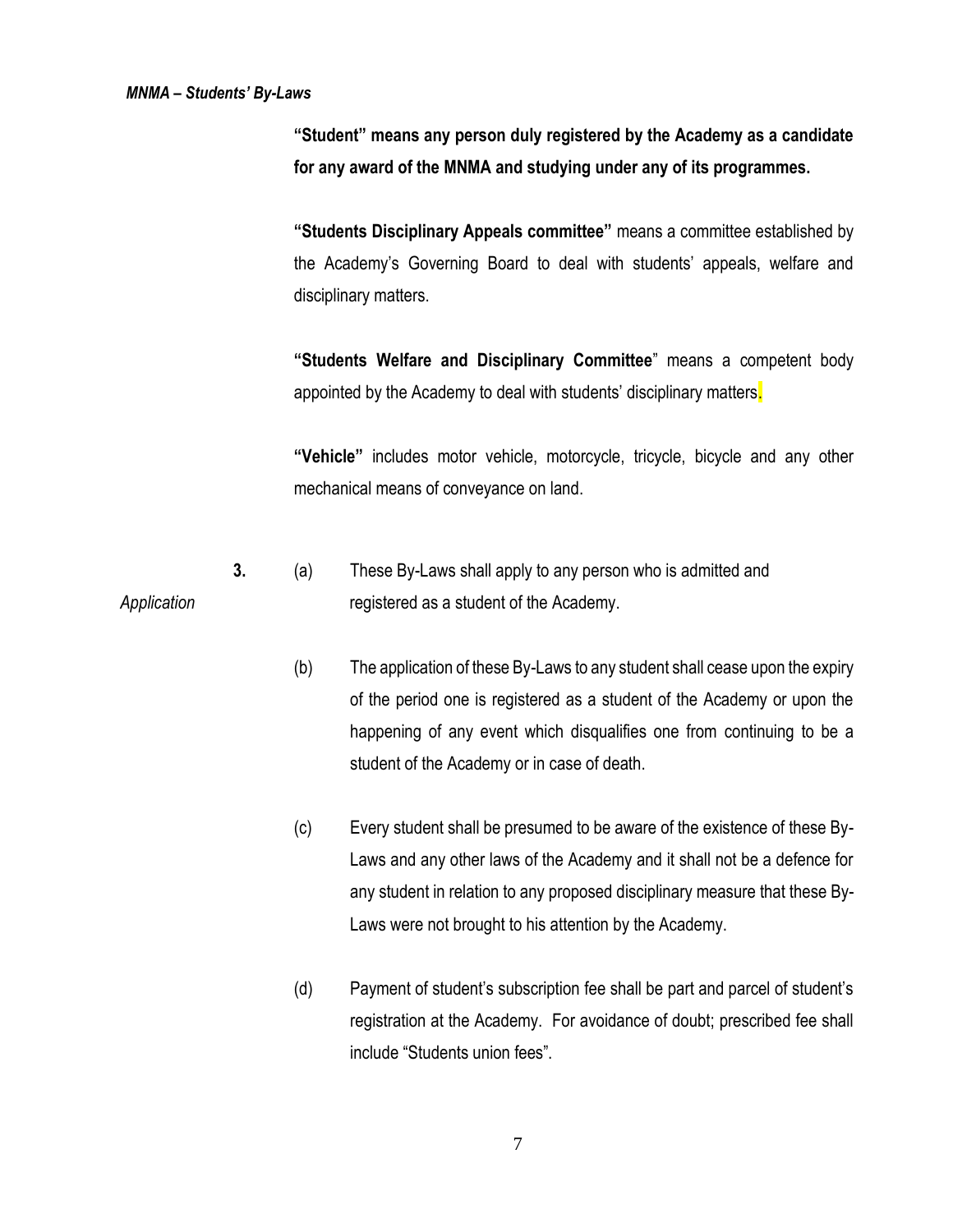**"Student" means any person duly registered by the Academy as a candidate for any award of the MNMA and studying under any of its programmes.**

**"Students Disciplinary Appeals committee"** means a committee established by the Academy's Governing Board to deal with students' appeals, welfare and disciplinary matters.

**"Students Welfare and Disciplinary Committee**" means a competent body appointed by the Academy to deal with students' disciplinary matters.

**"Vehicle"** includes motor vehicle, motorcycle, tricycle, bicycle and any other mechanical means of conveyance on land.

- **3.** (a) These By-Laws shall apply to any person who is admitted and Application *Application* registered as a student of the Academy.
	- (b) The application of these By-Laws to any student shall cease upon the expiry of the period one is registered as a student of the Academy or upon the happening of any event which disqualifies one from continuing to be a student of the Academy or in case of death.
	- (c) Every student shall be presumed to be aware of the existence of these By-Laws and any other laws of the Academy and it shall not be a defence for any student in relation to any proposed disciplinary measure that these By-Laws were not brought to his attention by the Academy.
	- (d) Payment of student's subscription fee shall be part and parcel of student's registration at the Academy. For avoidance of doubt; prescribed fee shall include "Students union fees".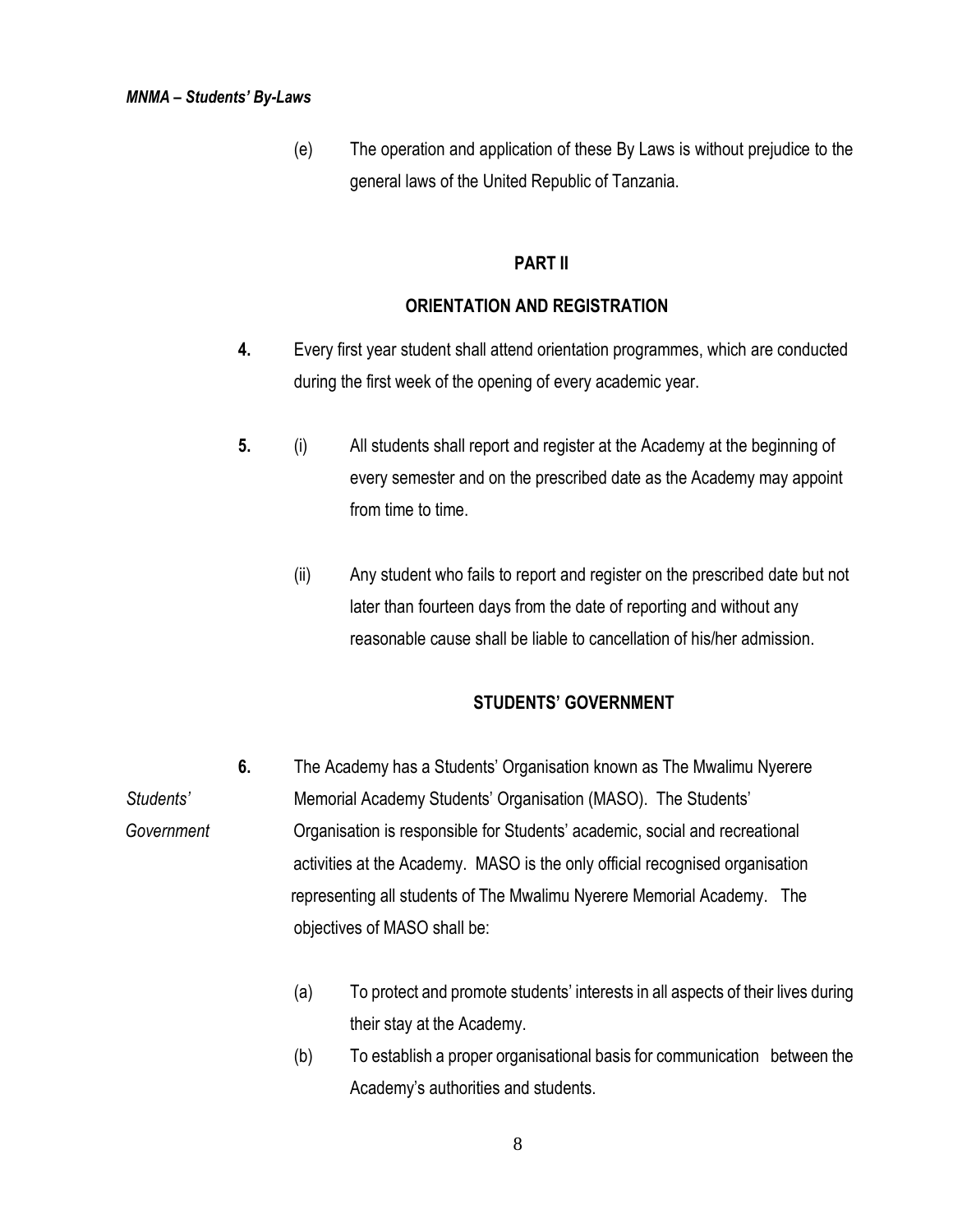(e) The operation and application of these By Laws is without prejudice to the general laws of the United Republic of Tanzania.

### **PART II**

### **ORIENTATION AND REGISTRATION**

- **4.** Every first year student shall attend orientation programmes, which are conducted during the first week of the opening of every academic year.
- **5.** (i) All students shall report and register at the Academy at the beginning of every semester and on the prescribed date as the Academy may appoint from time to time.
	- (ii) Any student who fails to report and register on the prescribed date but not later than fourteen days from the date of reporting and without any reasonable cause shall be liable to cancellation of his/her admission.

## **STUDENTS' GOVERNMENT**

- **6.** The Academy has a Students' Organisation known as The Mwalimu Nyerere *Students'* Memorial Academy Students' Organisation (MASO). The Students'  *Government* Organisation is responsible for Students' academic, social and recreational activities at the Academy. MASO is the only official recognised organisation representing all students of The Mwalimu Nyerere Memorial Academy. The objectives of MASO shall be:
	- (a) To protect and promote students' interests in all aspects of their lives during their stay at the Academy.
	- (b) To establish a proper organisational basis for communication between the Academy's authorities and students.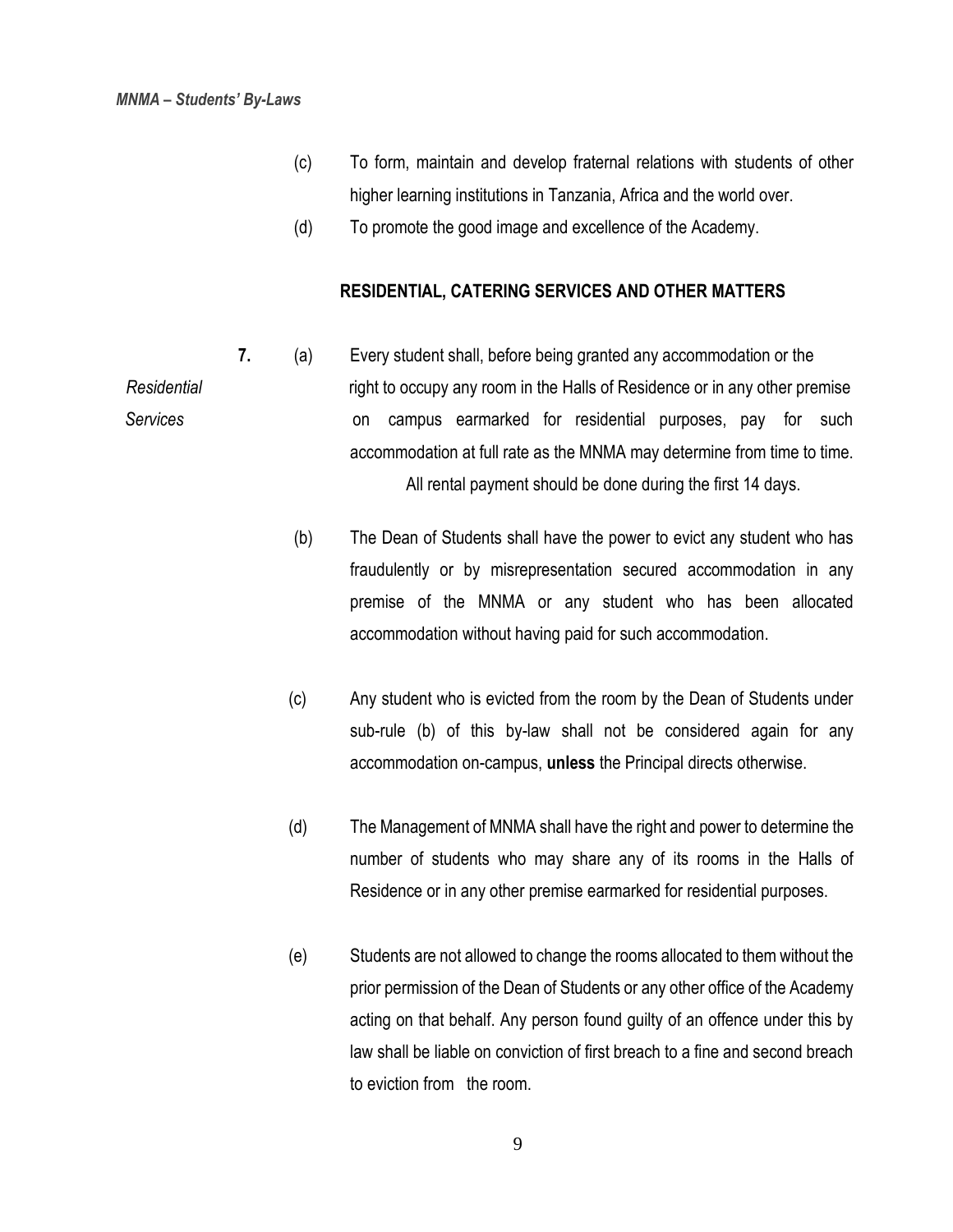- (c) To form, maintain and develop fraternal relations with students of other higher learning institutions in Tanzania, Africa and the world over.
- (d) To promote the good image and excellence of the Academy.

#### **RESIDENTIAL, CATERING SERVICES AND OTHER MATTERS**

- **7.** (a) Every student shall, before being granted any accommodation or the *Residential* right to occupy any room in the Halls of Residence or in any other premise *Services* on campus earmarked for residential purposes, pay for such accommodation at full rate as the MNMA may determine from time to time. All rental payment should be done during the first 14 days.
	- (b) The Dean of Students shall have the power to evict any student who has fraudulently or by misrepresentation secured accommodation in any premise of the MNMA or any student who has been allocated accommodation without having paid for such accommodation.
	- (c) Any student who is evicted from the room by the Dean of Students under sub-rule (b) of this by-law shall not be considered again for any accommodation on-campus, **unless** the Principal directs otherwise.
	- (d) The Management of MNMA shall have the right and power to determine the number of students who may share any of its rooms in the Halls of Residence or in any other premise earmarked for residential purposes.
	- (e) Students are not allowed to change the rooms allocated to them without the prior permission of the Dean of Students or any other office of the Academy acting on that behalf. Any person found guilty of an offence under this by law shall be liable on conviction of first breach to a fine and second breach to eviction from the room.

9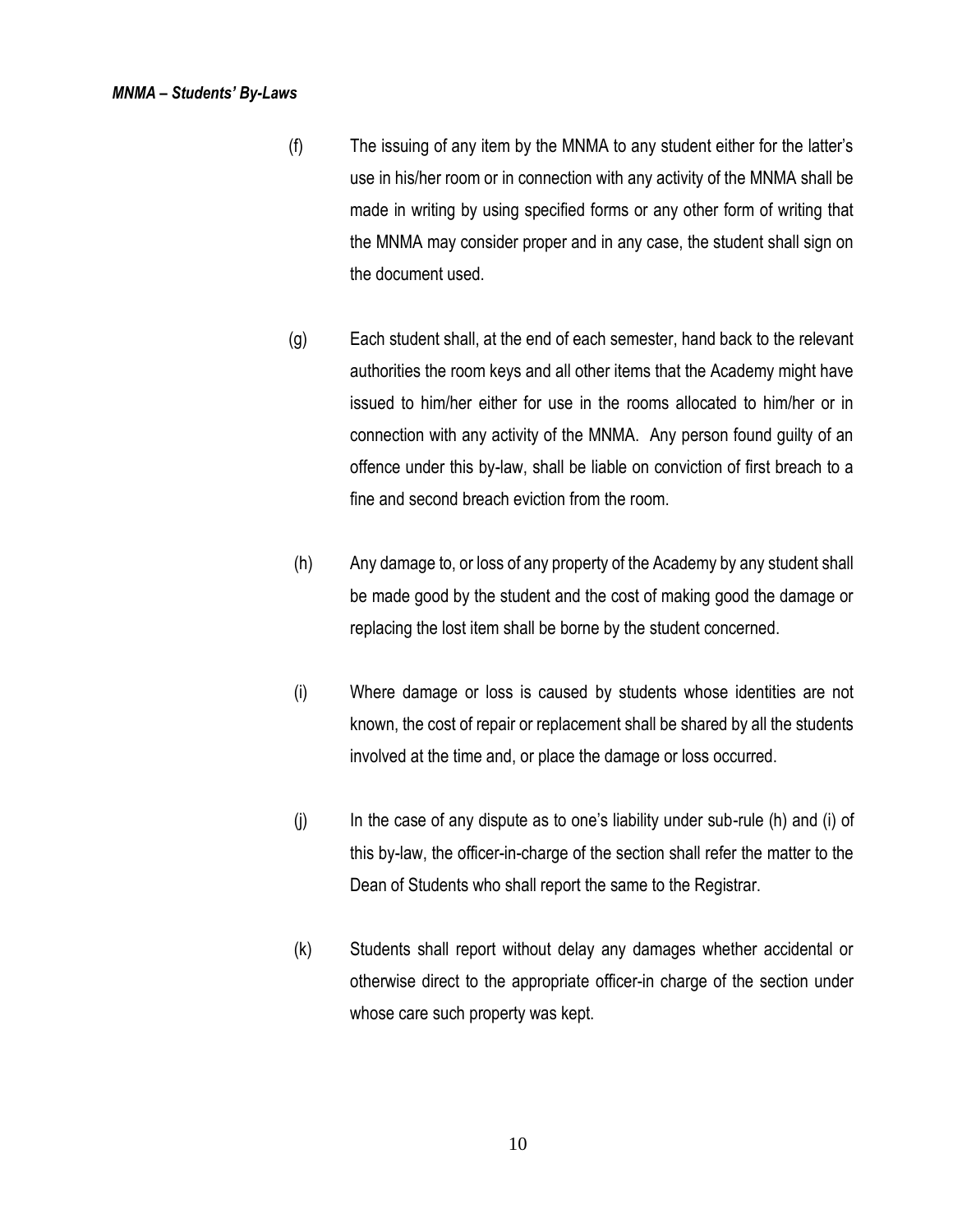- (f) The issuing of any item by the MNMA to any student either for the latter's use in his/her room or in connection with any activity of the MNMA shall be made in writing by using specified forms or any other form of writing that the MNMA may consider proper and in any case, the student shall sign on the document used.
- (g) Each student shall, at the end of each semester, hand back to the relevant authorities the room keys and all other items that the Academy might have issued to him/her either for use in the rooms allocated to him/her or in connection with any activity of the MNMA. Any person found guilty of an offence under this by-law, shall be liable on conviction of first breach to a fine and second breach eviction from the room.
- (h) Any damage to, or loss of any property of the Academy by any student shall be made good by the student and the cost of making good the damage or replacing the lost item shall be borne by the student concerned.
- (i) Where damage or loss is caused by students whose identities are not known, the cost of repair or replacement shall be shared by all the students involved at the time and, or place the damage or loss occurred.
- (j) In the case of any dispute as to one's liability under sub-rule (h) and (i) of this by-law, the officer-in-charge of the section shall refer the matter to the Dean of Students who shall report the same to the Registrar.
- (k) Students shall report without delay any damages whether accidental or otherwise direct to the appropriate officer-in charge of the section under whose care such property was kept.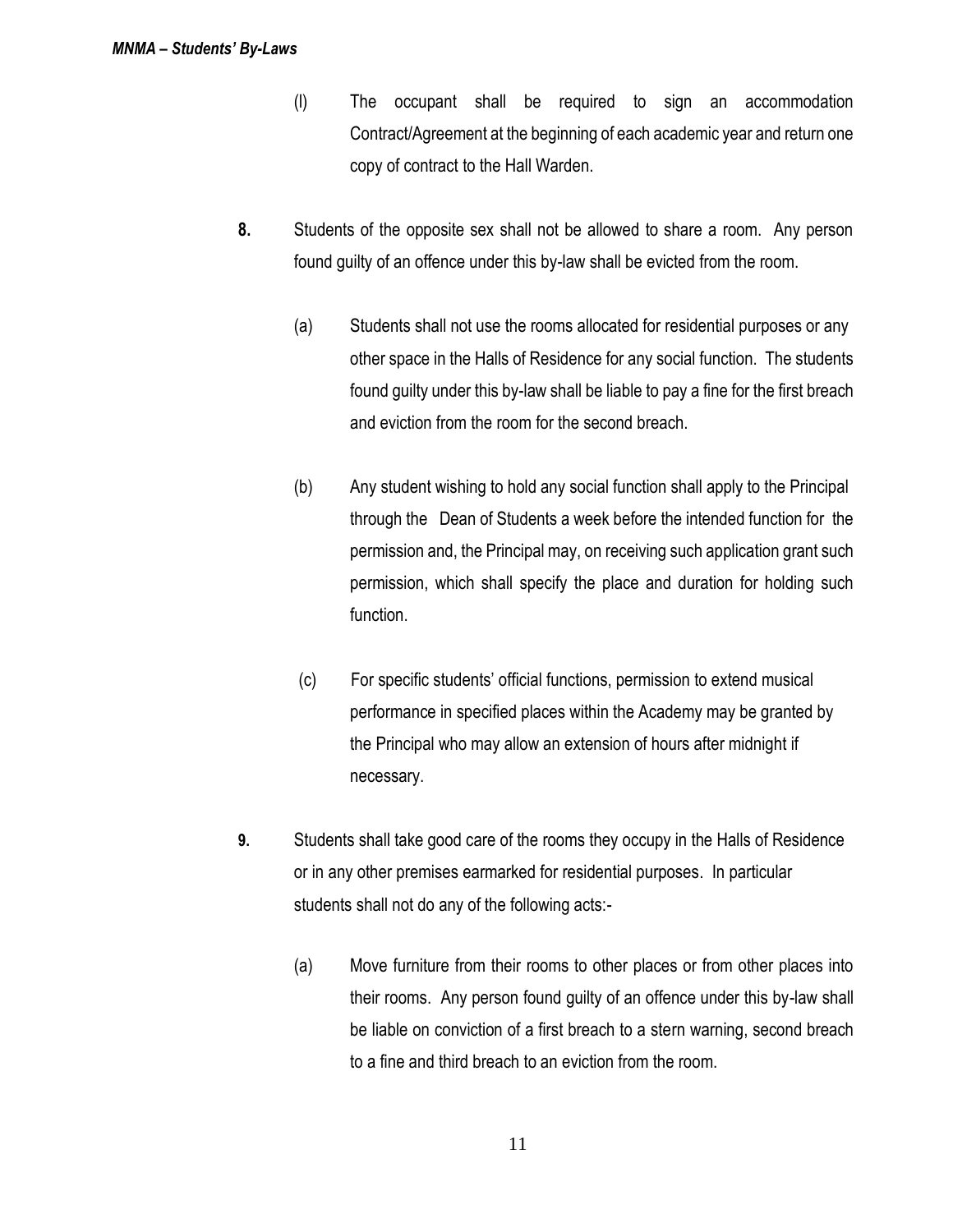- (l) The occupant shall be required to sign an accommodation Contract/Agreement at the beginning of each academic year and return one copy of contract to the Hall Warden.
- **8.** Students of the opposite sex shall not be allowed to share a room. Any person found guilty of an offence under this by-law shall be evicted from the room.
	- (a) Students shall not use the rooms allocated for residential purposes or any other space in the Halls of Residence for any social function. The students found guilty under this by-law shall be liable to pay a fine for the first breach and eviction from the room for the second breach.
	- (b) Any student wishing to hold any social function shall apply to the Principal through the Dean of Students a week before the intended function for the permission and, the Principal may, on receiving such application grant such permission, which shall specify the place and duration for holding such function.
	- (c) For specific students' official functions, permission to extend musical performance in specified places within the Academy may be granted by the Principal who may allow an extension of hours after midnight if necessary.
- **9.** Students shall take good care of the rooms they occupy in the Halls of Residence or in any other premises earmarked for residential purposes. In particular students shall not do any of the following acts:-
	- (a) Move furniture from their rooms to other places or from other places into their rooms. Any person found guilty of an offence under this by-law shall be liable on conviction of a first breach to a stern warning, second breach to a fine and third breach to an eviction from the room.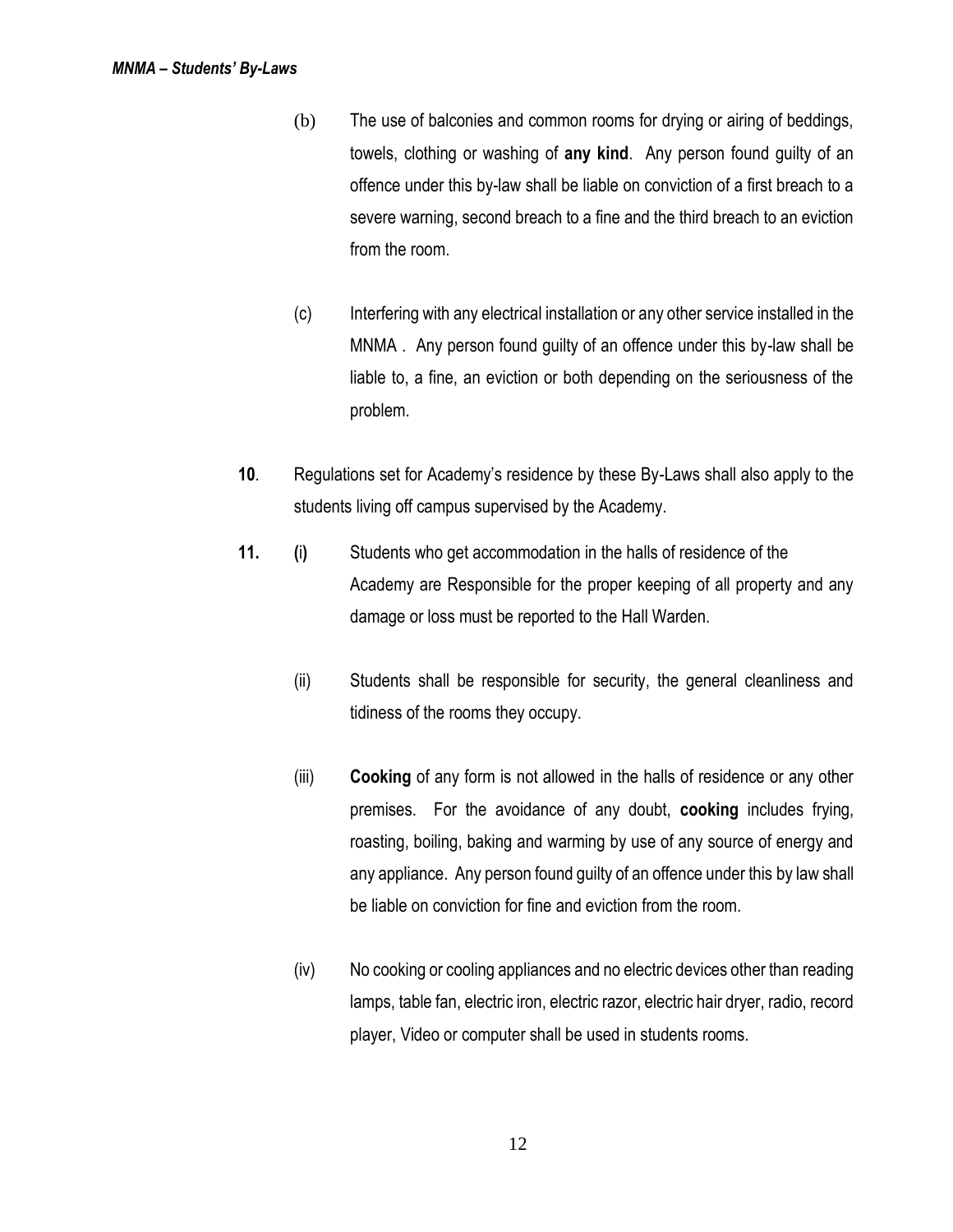- (b) The use of balconies and common rooms for drying or airing of beddings, towels, clothing or washing of **any kind**. Any person found guilty of an offence under this by-law shall be liable on conviction of a first breach to a severe warning, second breach to a fine and the third breach to an eviction from the room.
- (c) Interfering with any electrical installation or any other service installed in the MNMA . Any person found guilty of an offence under this by-law shall be liable to, a fine, an eviction or both depending on the seriousness of the problem.
- **10**. Regulations set for Academy's residence by these By-Laws shall also apply to the students living off campus supervised by the Academy.
- **11. (**i**)** Students who get accommodation in the halls of residence of the Academy are Responsible for the proper keeping of all property and any damage or loss must be reported to the Hall Warden.
	- (ii) Students shall be responsible for security, the general cleanliness and tidiness of the rooms they occupy.
	- (iii) **Cooking** of any form is not allowed in the halls of residence or any other premises. For the avoidance of any doubt, **cooking** includes frying, roasting, boiling, baking and warming by use of any source of energy and any appliance. Any person found guilty of an offence under this by law shall be liable on conviction for fine and eviction from the room.
	- (iv) No cooking or cooling appliances and no electric devices other than reading lamps, table fan, electric iron, electric razor, electric hair dryer, radio, record player, Video or computer shall be used in students rooms.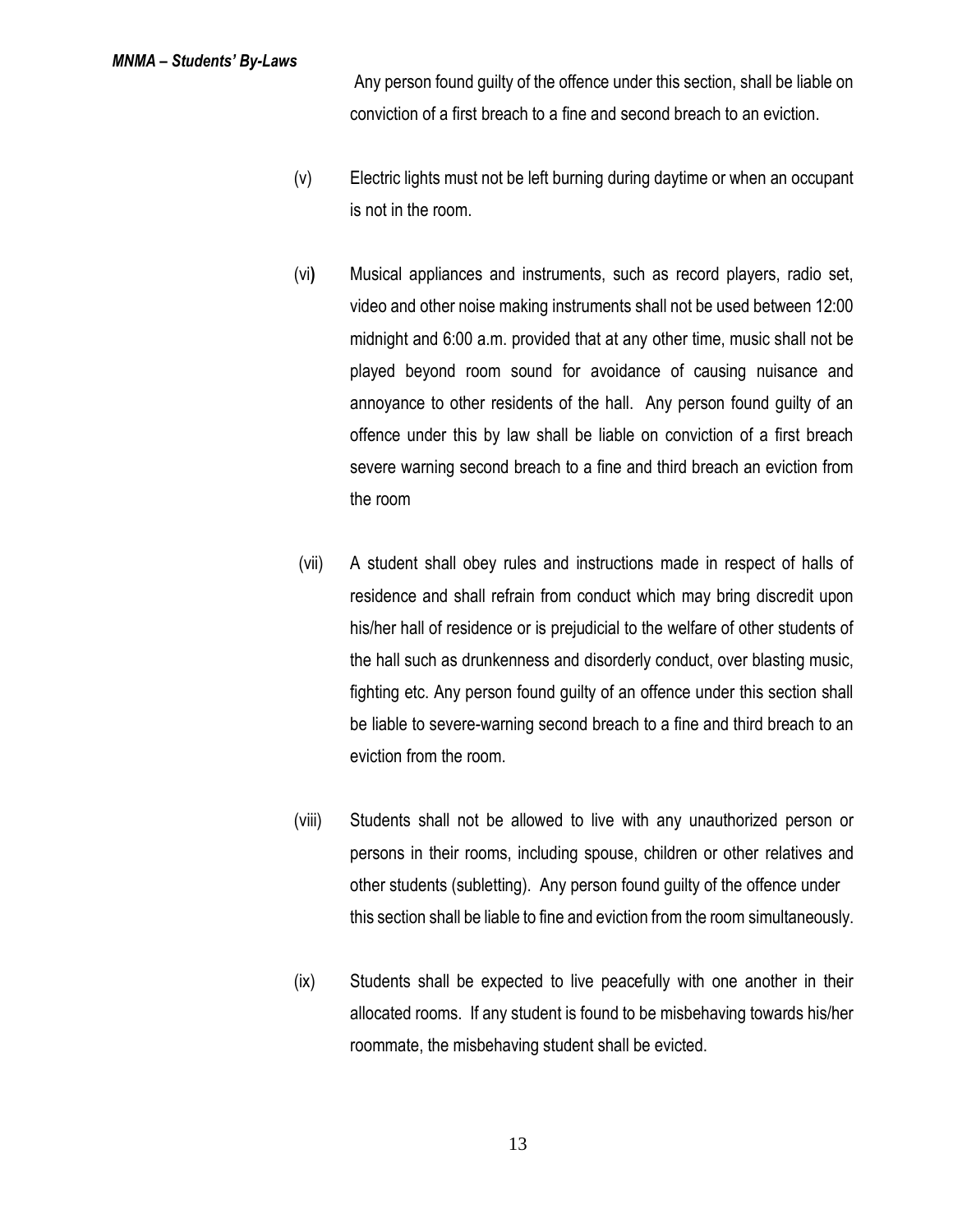Any person found guilty of the offence under this section, shall be liable on conviction of a first breach to a fine and second breach to an eviction.

- (v) Electric lights must not be left burning during daytime or when an occupant is not in the room.
- (vi**)** Musical appliances and instruments, such as record players, radio set, video and other noise making instruments shall not be used between 12:00 midnight and 6:00 a.m. provided that at any other time, music shall not be played beyond room sound for avoidance of causing nuisance and annoyance to other residents of the hall. Any person found guilty of an offence under this by law shall be liable on conviction of a first breach severe warning second breach to a fine and third breach an eviction from the room
- (vii) A student shall obey rules and instructions made in respect of halls of residence and shall refrain from conduct which may bring discredit upon his/her hall of residence or is prejudicial to the welfare of other students of the hall such as drunkenness and disorderly conduct, over blasting music, fighting etc. Any person found guilty of an offence under this section shall be liable to severe-warning second breach to a fine and third breach to an eviction from the room.
- (viii) Students shall not be allowed to live with any unauthorized person or persons in their rooms, including spouse, children or other relatives and other students (subletting). Any person found guilty of the offence under this section shall be liable to fine and eviction from the room simultaneously.
- (ix) Students shall be expected to live peacefully with one another in their allocated rooms. If any student is found to be misbehaving towards his/her roommate, the misbehaving student shall be evicted.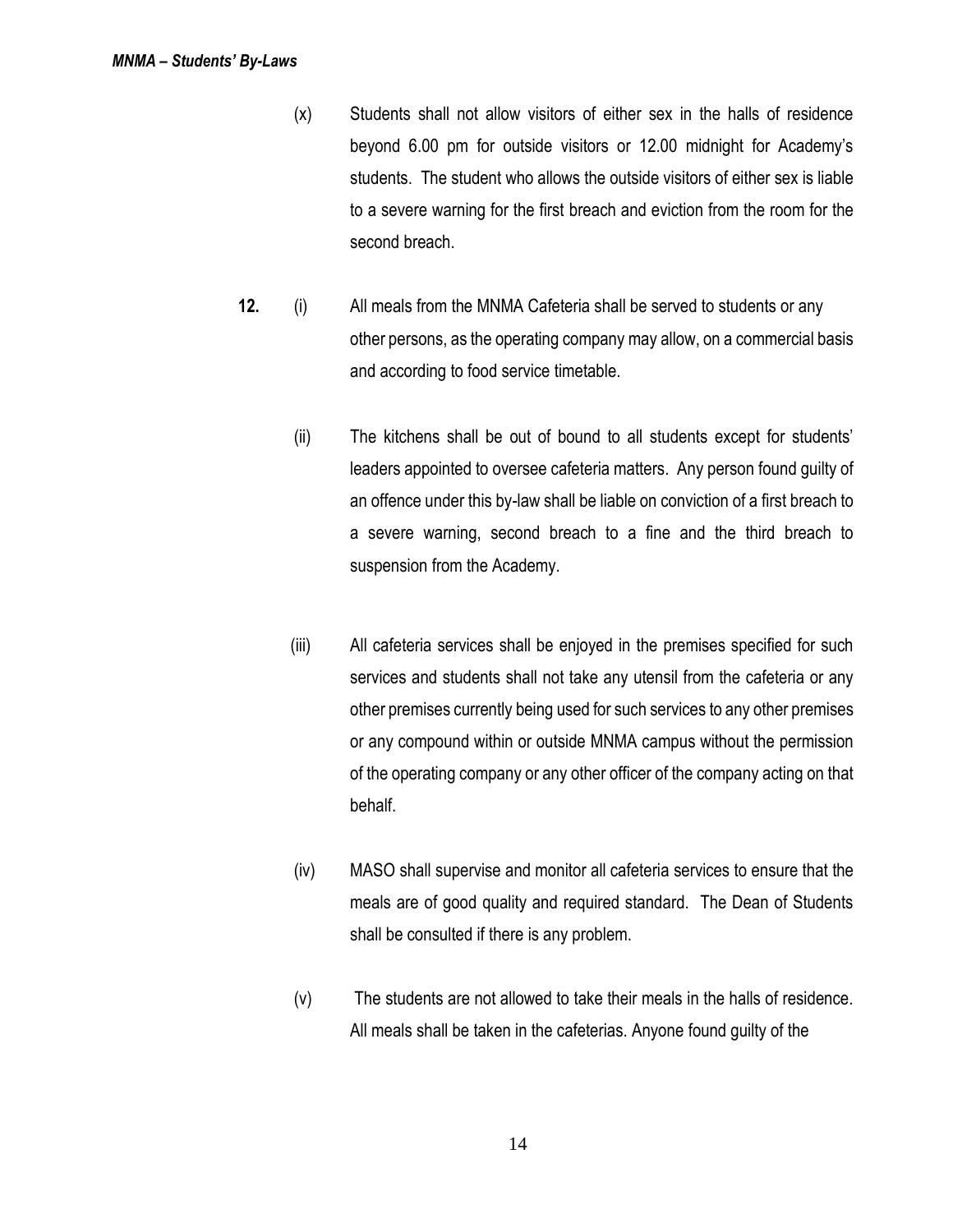- (x) Students shall not allow visitors of either sex in the halls of residence beyond 6.00 pm for outside visitors or 12.00 midnight for Academy's students. The student who allows the outside visitors of either sex is liable to a severe warning for the first breach and eviction from the room for the second breach.
- **12.** (i) All meals from the MNMA Cafeteria shall be served to students or any other persons, as the operating company may allow, on a commercial basis and according to food service timetable.
	- (ii) The kitchens shall be out of bound to all students except for students' leaders appointed to oversee cafeteria matters. Any person found guilty of an offence under this by-law shall be liable on conviction of a first breach to a severe warning, second breach to a fine and the third breach to suspension from the Academy.
	- (iii) All cafeteria services shall be enjoyed in the premises specified for such services and students shall not take any utensil from the cafeteria or any other premises currently being used for such services to any other premises or any compound within or outside MNMA campus without the permission of the operating company or any other officer of the company acting on that behalf.
	- (iv) MASO shall supervise and monitor all cafeteria services to ensure that the meals are of good quality and required standard. The Dean of Students shall be consulted if there is any problem.
	- (v) The students are not allowed to take their meals in the halls of residence. All meals shall be taken in the cafeterias. Anyone found guilty of the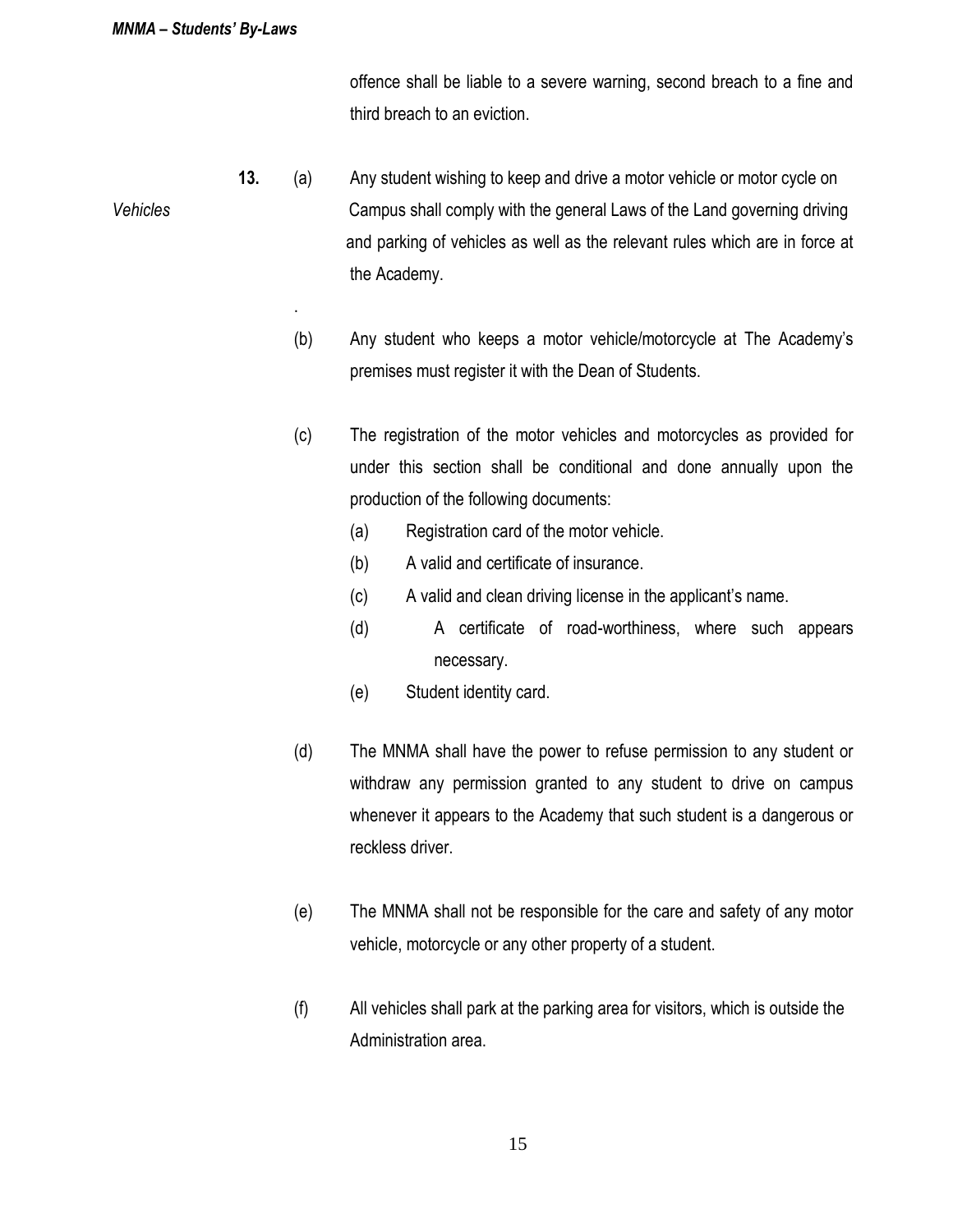.

offence shall be liable to a severe warning, second breach to a fine and third breach to an eviction.

- **13.** (a) Any student wishing to keep and drive a motor vehicle or motor cycle on *Vehicles* Campus shall comply with the general Laws of the Land governing driving and parking of vehicles as well as the relevant rules which are in force at the Academy.
	- (b) Any student who keeps a motor vehicle/motorcycle at The Academy's premises must register it with the Dean of Students.
	- (c) The registration of the motor vehicles and motorcycles as provided for under this section shall be conditional and done annually upon the production of the following documents:
		- (a) Registration card of the motor vehicle.
		- (b) A valid and certificate of insurance.
		- (c) A valid and clean driving license in the applicant's name.
		- (d) A certificate of road-worthiness, where such appears necessary.
		- (e) Student identity card.
	- (d) The MNMA shall have the power to refuse permission to any student or withdraw any permission granted to any student to drive on campus whenever it appears to the Academy that such student is a dangerous or reckless driver.
	- (e) The MNMA shall not be responsible for the care and safety of any motor vehicle, motorcycle or any other property of a student.
	- (f) All vehicles shall park at the parking area for visitors, which is outside the Administration area.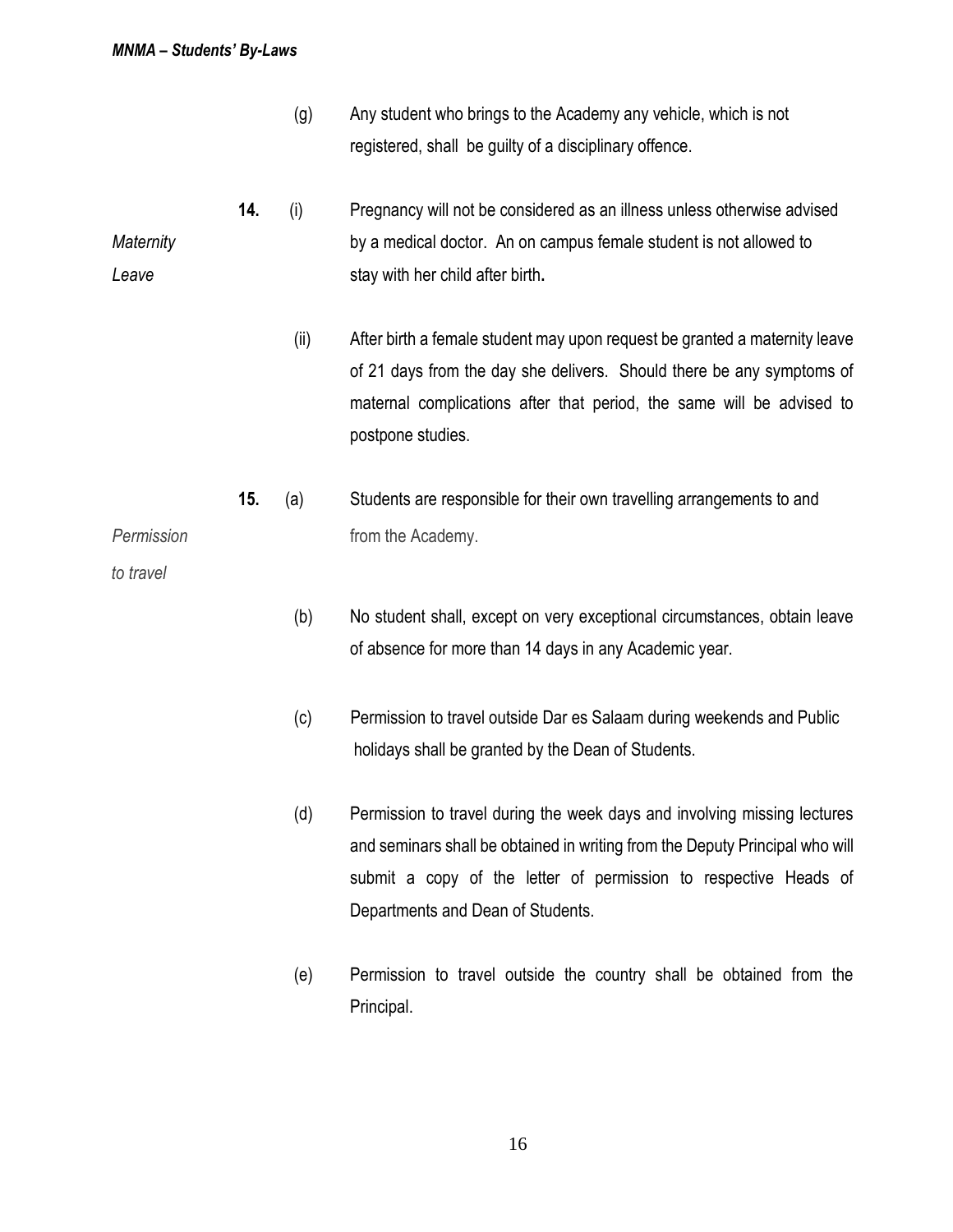- (g) Any student who brings to the Academy any vehicle, which is not registered, shall be guilty of a disciplinary offence.
- **14.** (i) Pregnancy will not be considered as an illness unless otherwise advised *Maternity* by a medical doctor. An on campus female student is not allowed to **Leave** stay with her child after birth.
	- (ii) After birth a female student may upon request be granted a maternity leave of 21 days from the day she delivers. Should there be any symptoms of maternal complications after that period, the same will be advised to postpone studies.
- **15.** (a) Students are responsible for their own travelling arrangements to and **Permission from the Academy.**

*to travel*

- (b) No student shall, except on very exceptional circumstances, obtain leave of absence for more than 14 days in any Academic year.
- (c) Permission to travel outside Dar es Salaam during weekends and Public holidays shall be granted by the Dean of Students.
- (d) Permission to travel during the week days and involving missing lectures and seminars shall be obtained in writing from the Deputy Principal who will submit a copy of the letter of permission to respective Heads of Departments and Dean of Students.
- (e) Permission to travel outside the country shall be obtained from the Principal.

16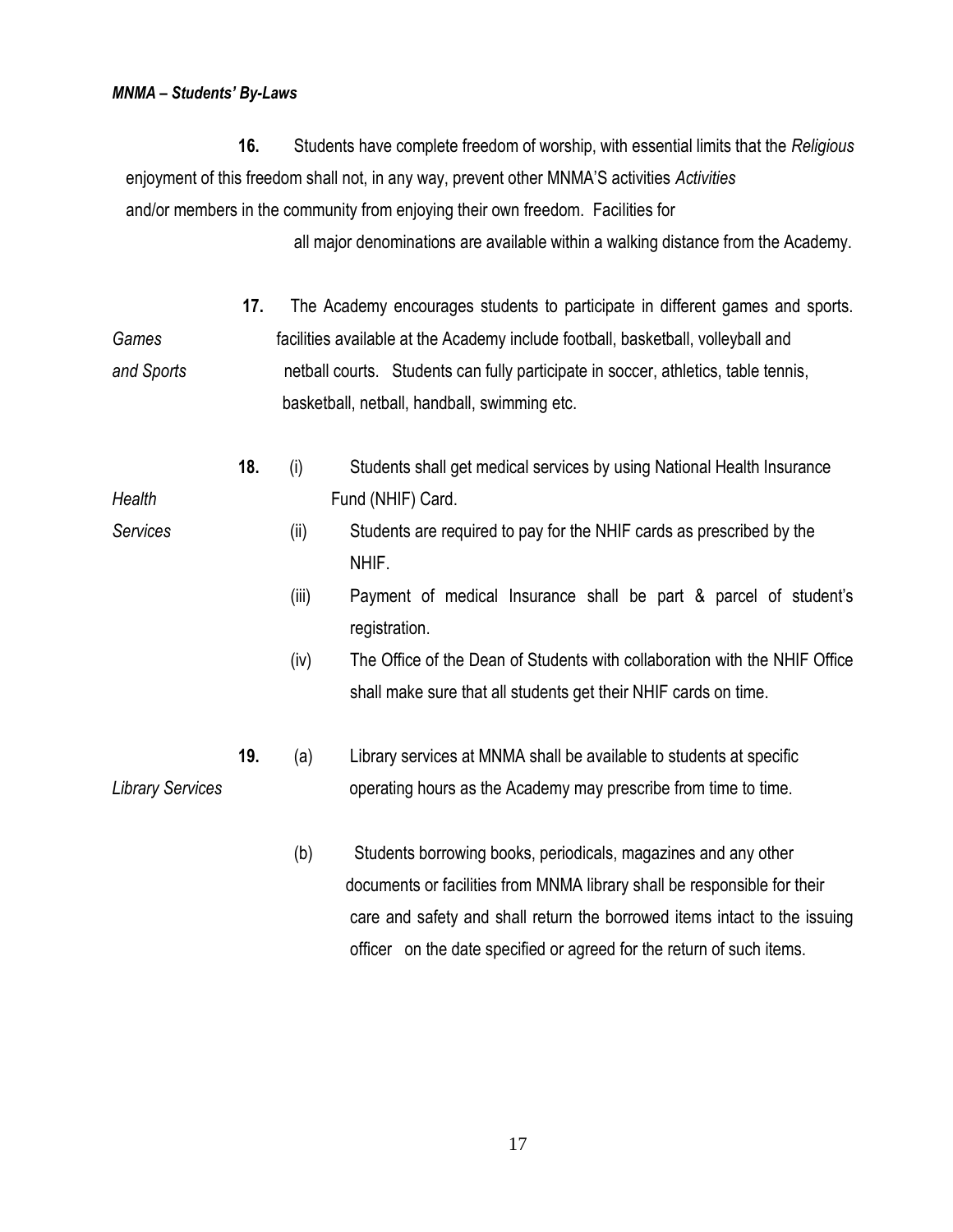**16.** Students have complete freedom of worship, with essential limits that the *Religious* enjoyment of this freedom shall not, in any way, prevent other MNMA'S activities *Activities* and/or members in the community from enjoying their own freedom. Facilities for

all major denominations are available within a walking distance from the Academy.

- **17.** The Academy encourages students to participate in different games and sports. *Games* facilities available at the Academy include football, basketball, volleyball and *and Sports* netball courts. Students can fully participate in soccer, athletics, table tennis, basketball, netball, handball, swimming etc.
- **18.** (i) Students shall get medical services by using National Health Insurance *Health* **Fund (NHIF)** Card.
- *Services*(ii) Students are required to pay for the NHIF cards as prescribed by the NHIF.
	- (iii) Payment of medical Insurance shall be part & parcel of student's registration.
	- (iv) The Office of the Dean of Students with collaboration with the NHIF Office shall make sure that all students get their NHIF cards on time.
- **19.** (a) Library services at MNMA shall be available to students at specific *Library Services* **come intervally operating hours as the Academy may prescribe from time to time.** 
	- (b) Students borrowing books, periodicals, magazines and any other documents or facilities from MNMA library shall be responsible for their care and safety and shall return the borrowed items intact to the issuing officer on the date specified or agreed for the return of such items.

17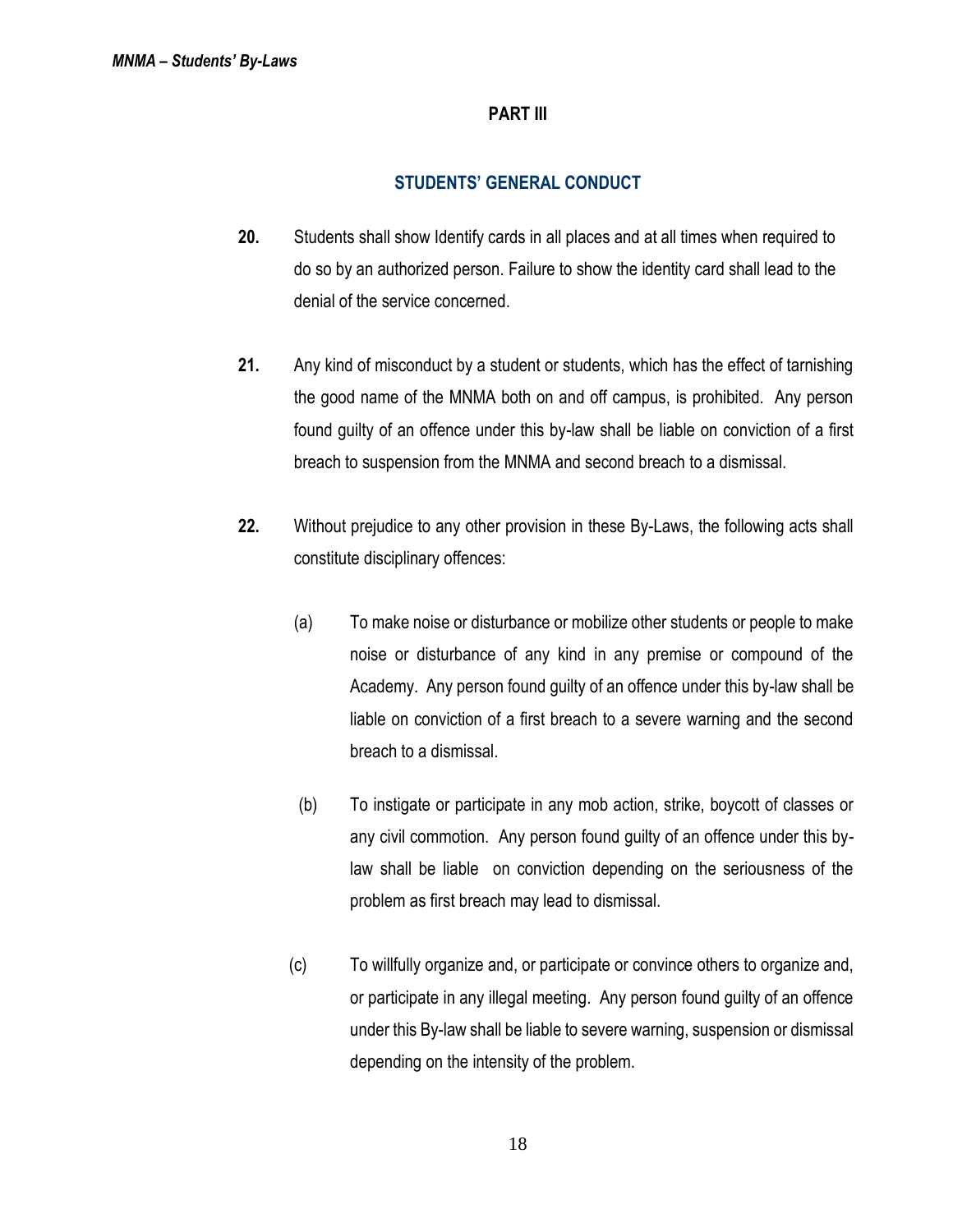### **PART III**

## **STUDENTS' GENERAL CONDUCT**

- **20.** Students shall show Identify cards in all places and at all times when required to do so by an authorized person. Failure to show the identity card shall lead to the denial of the service concerned.
- **21.** Any kind of misconduct by a student or students, which has the effect of tarnishing the good name of the MNMA both on and off campus, is prohibited. Any person found guilty of an offence under this by-law shall be liable on conviction of a first breach to suspension from the MNMA and second breach to a dismissal.
- **22.** Without prejudice to any other provision in these By-Laws, the following acts shall constitute disciplinary offences:
	- (a) To make noise or disturbance or mobilize other students or people to make noise or disturbance of any kind in any premise or compound of the Academy. Any person found guilty of an offence under this by-law shall be liable on conviction of a first breach to a severe warning and the second breach to a dismissal.
	- (b) To instigate or participate in any mob action, strike, boycott of classes or any civil commotion. Any person found guilty of an offence under this bylaw shall be liable on conviction depending on the seriousness of the problem as first breach may lead to dismissal.
	- (c) To willfully organize and, or participate or convince others to organize and, or participate in any illegal meeting. Any person found guilty of an offence under this By-law shall be liable to severe warning, suspension or dismissal depending on the intensity of the problem.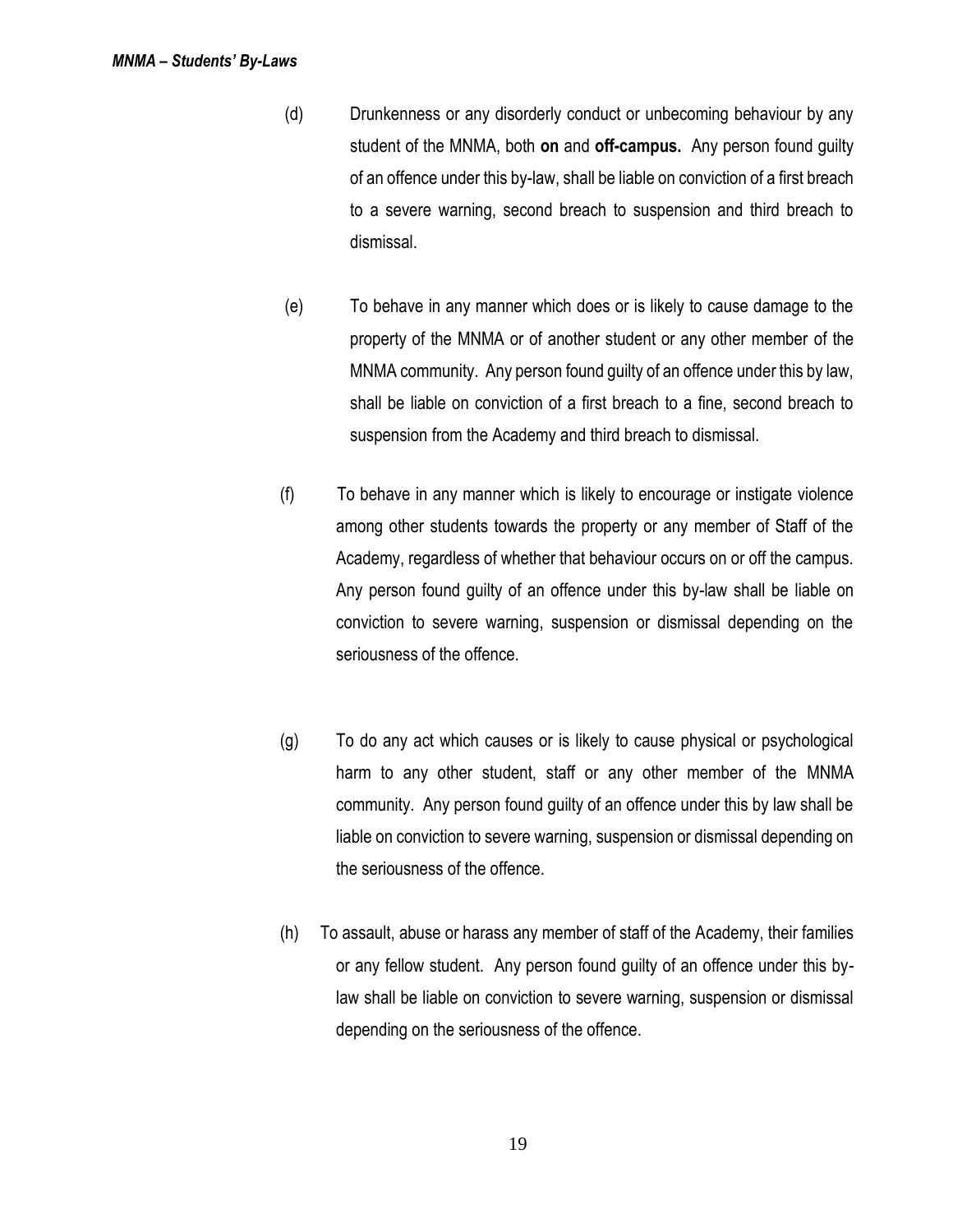- (d) Drunkenness or any disorderly conduct or unbecoming behaviour by any student of the MNMA, both **on** and **off-campus.** Any person found guilty of an offence under this by-law, shall be liable on conviction of a first breach to a severe warning, second breach to suspension and third breach to dismissal.
- (e) To behave in any manner which does or is likely to cause damage to the property of the MNMA or of another student or any other member of the MNMA community. Any person found guilty of an offence under this by law, shall be liable on conviction of a first breach to a fine, second breach to suspension from the Academy and third breach to dismissal.
- (f) To behave in any manner which is likely to encourage or instigate violence among other students towards the property or any member of Staff of the Academy, regardless of whether that behaviour occurs on or off the campus. Any person found guilty of an offence under this by-law shall be liable on conviction to severe warning, suspension or dismissal depending on the seriousness of the offence.
- (g) To do any act which causes or is likely to cause physical or psychological harm to any other student, staff or any other member of the MNMA community. Any person found guilty of an offence under this by law shall be liable on conviction to severe warning, suspension or dismissal depending on the seriousness of the offence.
- (h) To assault, abuse or harass any member of staff of the Academy, their families or any fellow student. Any person found guilty of an offence under this bylaw shall be liable on conviction to severe warning, suspension or dismissal depending on the seriousness of the offence.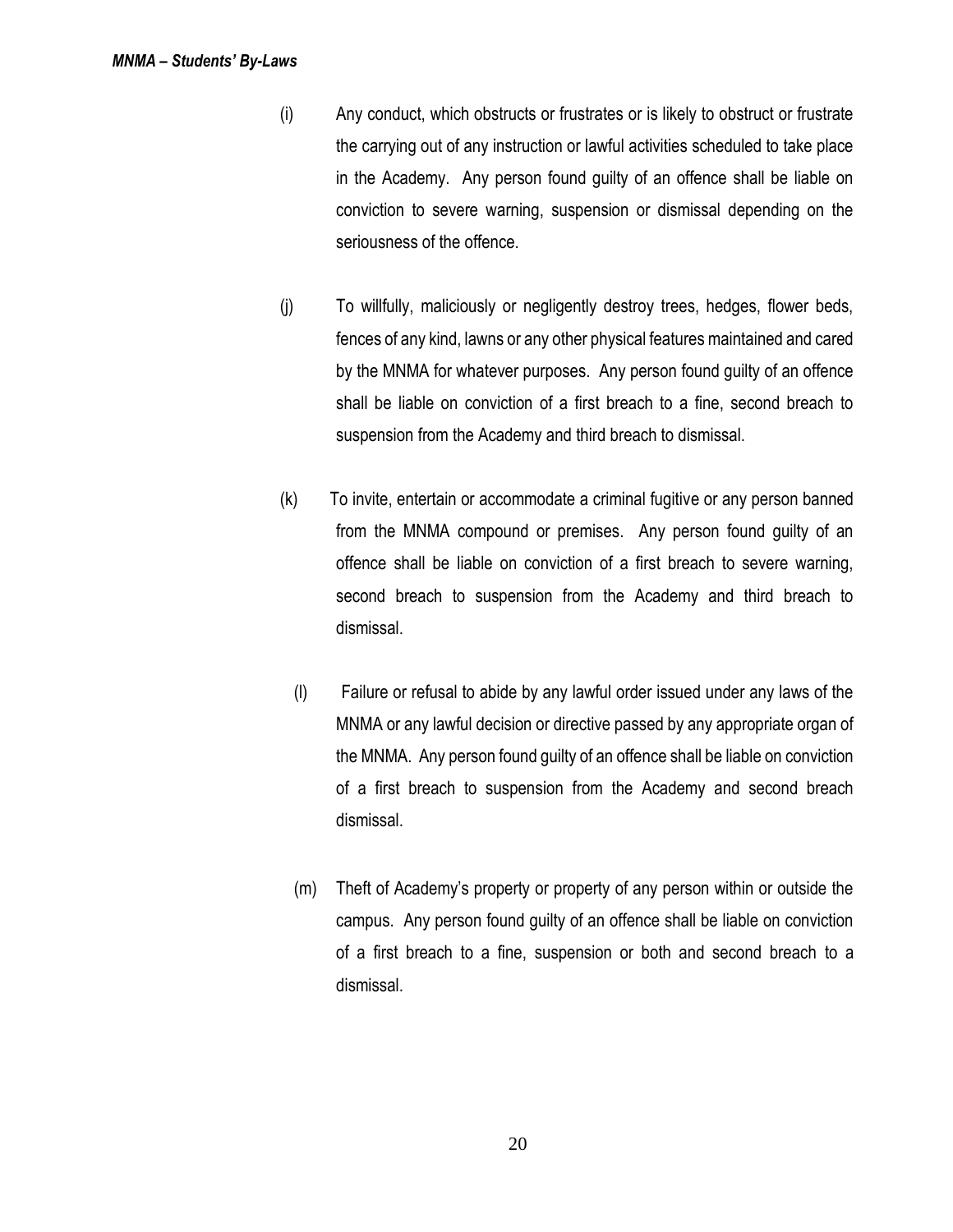- (i) Any conduct, which obstructs or frustrates or is likely to obstruct or frustrate the carrying out of any instruction or lawful activities scheduled to take place in the Academy. Any person found guilty of an offence shall be liable on conviction to severe warning, suspension or dismissal depending on the seriousness of the offence.
- (j) To willfully, maliciously or negligently destroy trees, hedges, flower beds, fences of any kind, lawns or any other physical features maintained and cared by the MNMA for whatever purposes. Any person found guilty of an offence shall be liable on conviction of a first breach to a fine, second breach to suspension from the Academy and third breach to dismissal.
- (k) To invite, entertain or accommodate a criminal fugitive or any person banned from the MNMA compound or premises. Any person found guilty of an offence shall be liable on conviction of a first breach to severe warning, second breach to suspension from the Academy and third breach to dismissal.
	- (l) Failure or refusal to abide by any lawful order issued under any laws of the MNMA or any lawful decision or directive passed by any appropriate organ of the MNMA. Any person found guilty of an offence shall be liable on conviction of a first breach to suspension from the Academy and second breach dismissal.
- (m) Theft of Academy's property or property of any person within or outside the campus. Any person found guilty of an offence shall be liable on conviction of a first breach to a fine, suspension or both and second breach to a dismissal.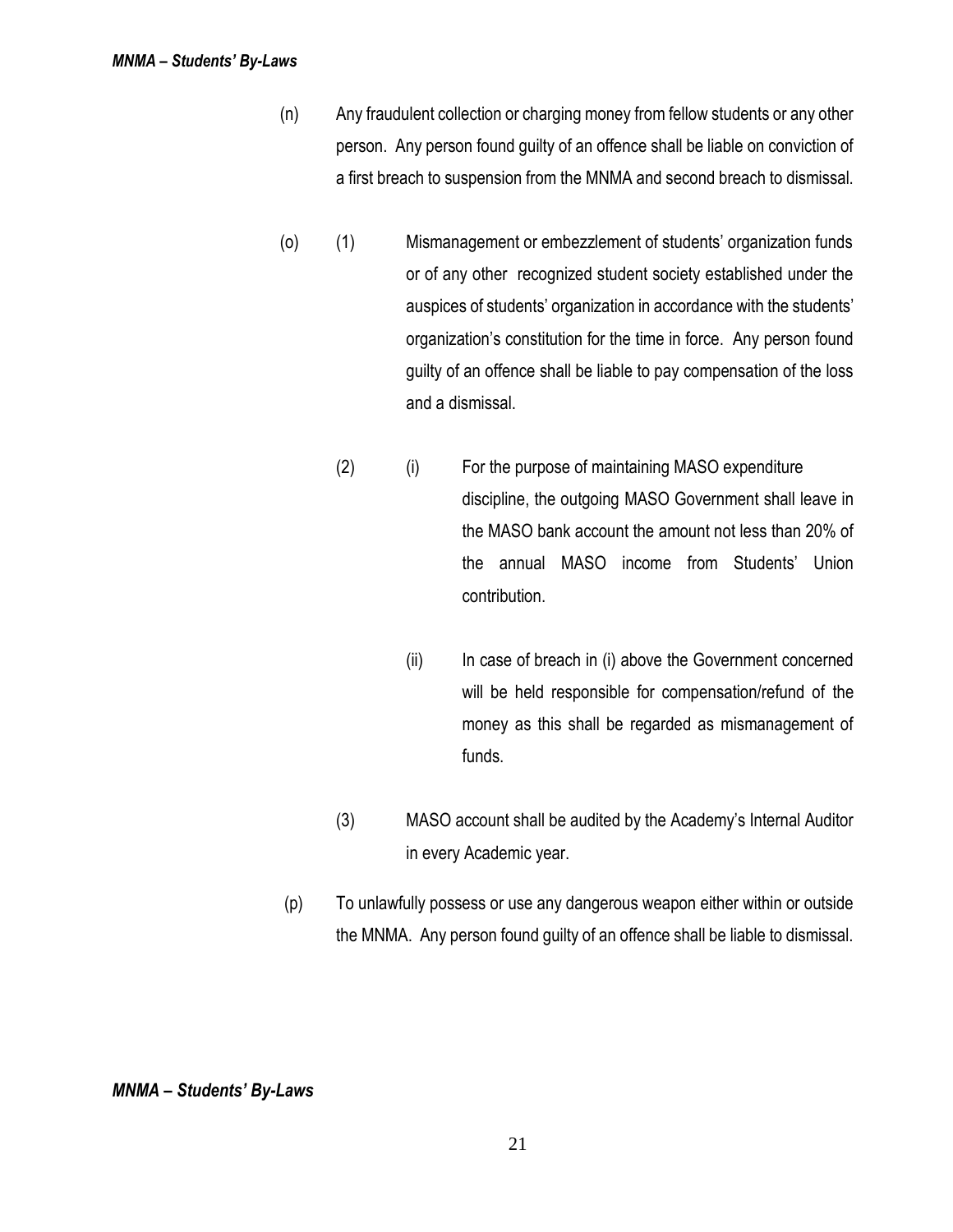- (n) Any fraudulent collection or charging money from fellow students or any other person. Any person found guilty of an offence shall be liable on conviction of a first breach to suspension from the MNMA and second breach to dismissal.
- (o) (1) Mismanagement or embezzlement of students' organization funds or of any other recognized student society established under the auspices of students' organization in accordance with the students' organization's constitution for the time in force. Any person found guilty of an offence shall be liable to pay compensation of the loss and a dismissal.
	- (2) (i) For the purpose of maintaining MASO expenditure discipline, the outgoing MASO Government shall leave in the MASO bank account the amount not less than 20% of the annual MASO income from Students' Union contribution.
		- (ii) In case of breach in (i) above the Government concerned will be held responsible for compensation/refund of the money as this shall be regarded as mismanagement of funds.
	- (3) MASO account shall be audited by the Academy's Internal Auditor in every Academic year.
- (p) To unlawfully possess or use any dangerous weapon either within or outside the MNMA. Any person found guilty of an offence shall be liable to dismissal.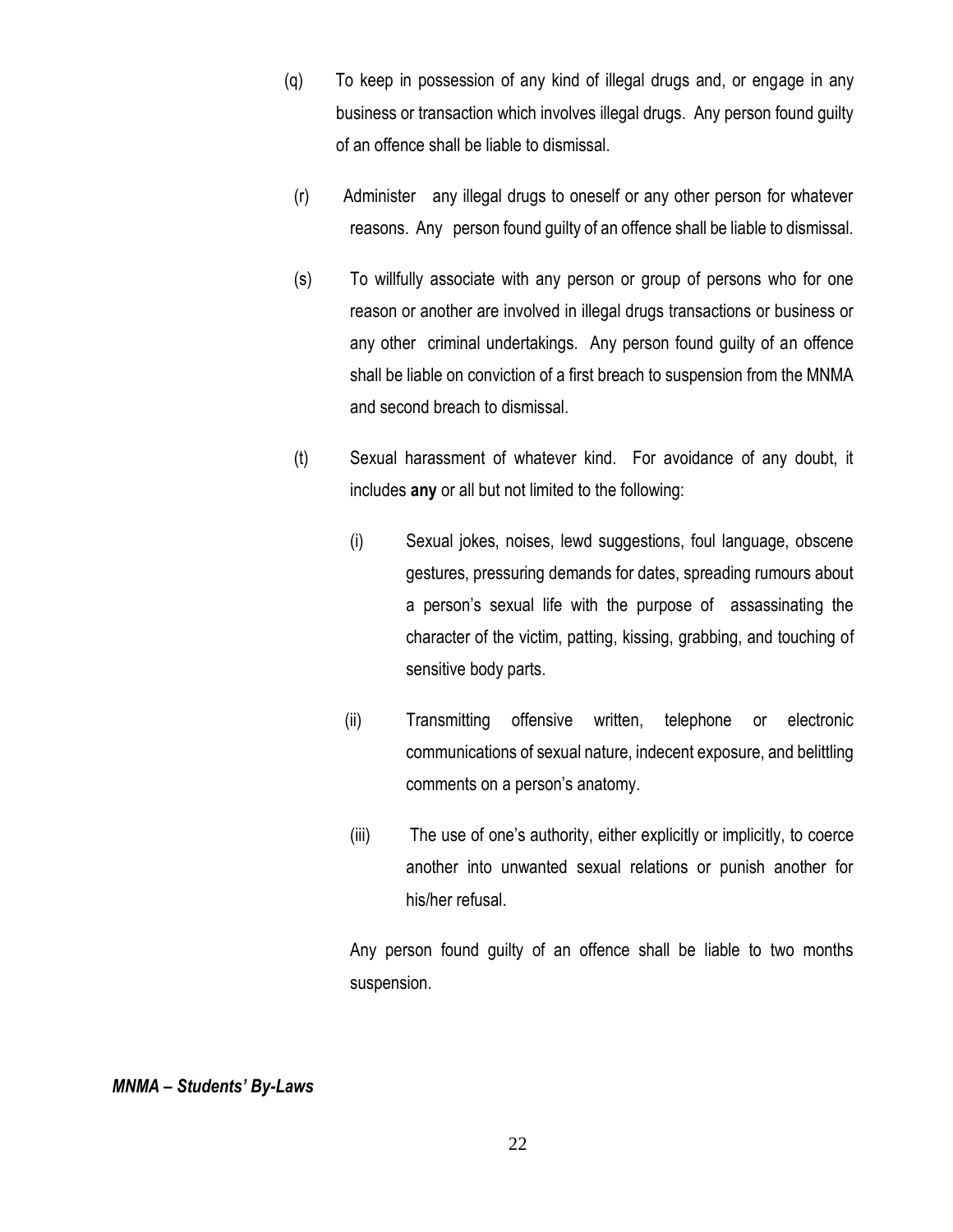- (q) To keep in possession of any kind of illegal drugs and, or engage in any business or transaction which involves illegal drugs. Any person found guilty of an offence shall be liable to dismissal.
- (r) Administer any illegal drugs to oneself or any other person for whatever reasons. Any person found guilty of an offence shall be liable to dismissal.
- (s) To willfully associate with any person or group of persons who for one reason or another are involved in illegal drugs transactions or business or any other criminal undertakings. Any person found guilty of an offence shall be liable on conviction of a first breach to suspension from the MNMA and second breach to dismissal.
- (t) Sexual harassment of whatever kind. For avoidance of any doubt, it includes **any** or all but not limited to the following:
	- (i) Sexual jokes, noises, lewd suggestions, foul language, obscene gestures, pressuring demands for dates, spreading rumours about a person's sexual life with the purpose of assassinating the character of the victim, patting, kissing, grabbing, and touching of sensitive body parts.
	- (ii) Transmitting offensive written, telephone or electronic communications of sexual nature, indecent exposure, and belittling comments on a person's anatomy.
	- (iii) The use of one's authority, either explicitly or implicitly, to coerce another into unwanted sexual relations or punish another for his/her refusal.

Any person found guilty of an offence shall be liable to two months suspension.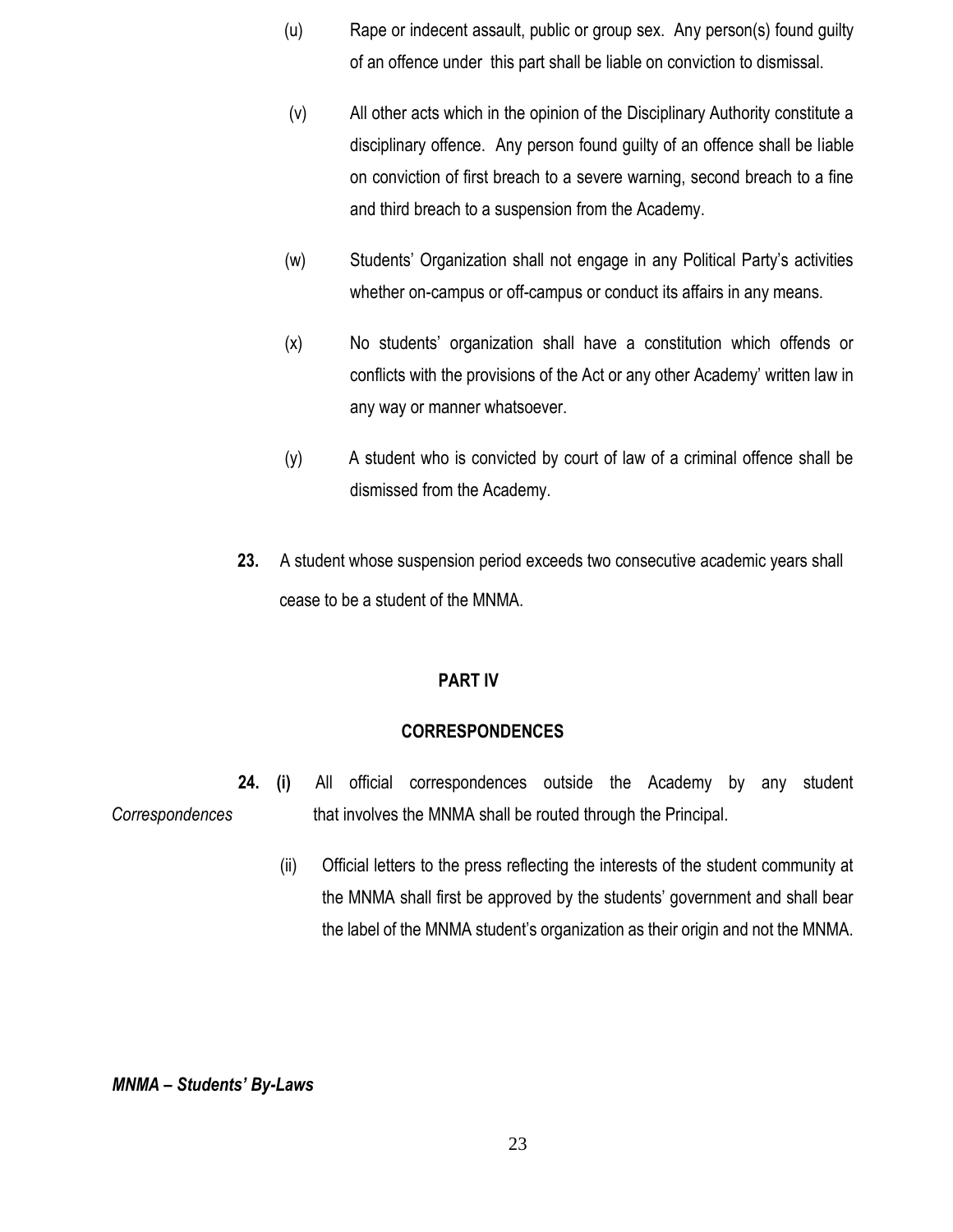- (u) Rape or indecent assault, public or group sex. Any person(s) found guilty of an offence under this part shall be liable on conviction to dismissal.
- (v) All other acts which in the opinion of the Disciplinary Authority constitute a disciplinary offence. Any person found guilty of an offence shall be liable on conviction of first breach to a severe warning, second breach to a fine and third breach to a suspension from the Academy.
- (w) Students' Organization shall not engage in any Political Party's activities whether on-campus or off-campus or conduct its affairs in any means.
- (x) No students' organization shall have a constitution which offends or conflicts with the provisions of the Act or any other Academy' written law in any way or manner whatsoever.
- (y) A student who is convicted by court of law of a criminal offence shall be dismissed from the Academy.
- **23.** A student whose suspension period exceeds two consecutive academic years shall cease to be a student of the MNMA.

### **PART IV**

### **CORRESPONDENCES**

- **24. (i)** All official correspondences outside the Academy by any student *Correspondences* that involves the MNMA shall be routed through the Principal.
	- (ii) Official letters to the press reflecting the interests of the student community at the MNMA shall first be approved by the students' government and shall bear the label of the MNMA student's organization as their origin and not the MNMA.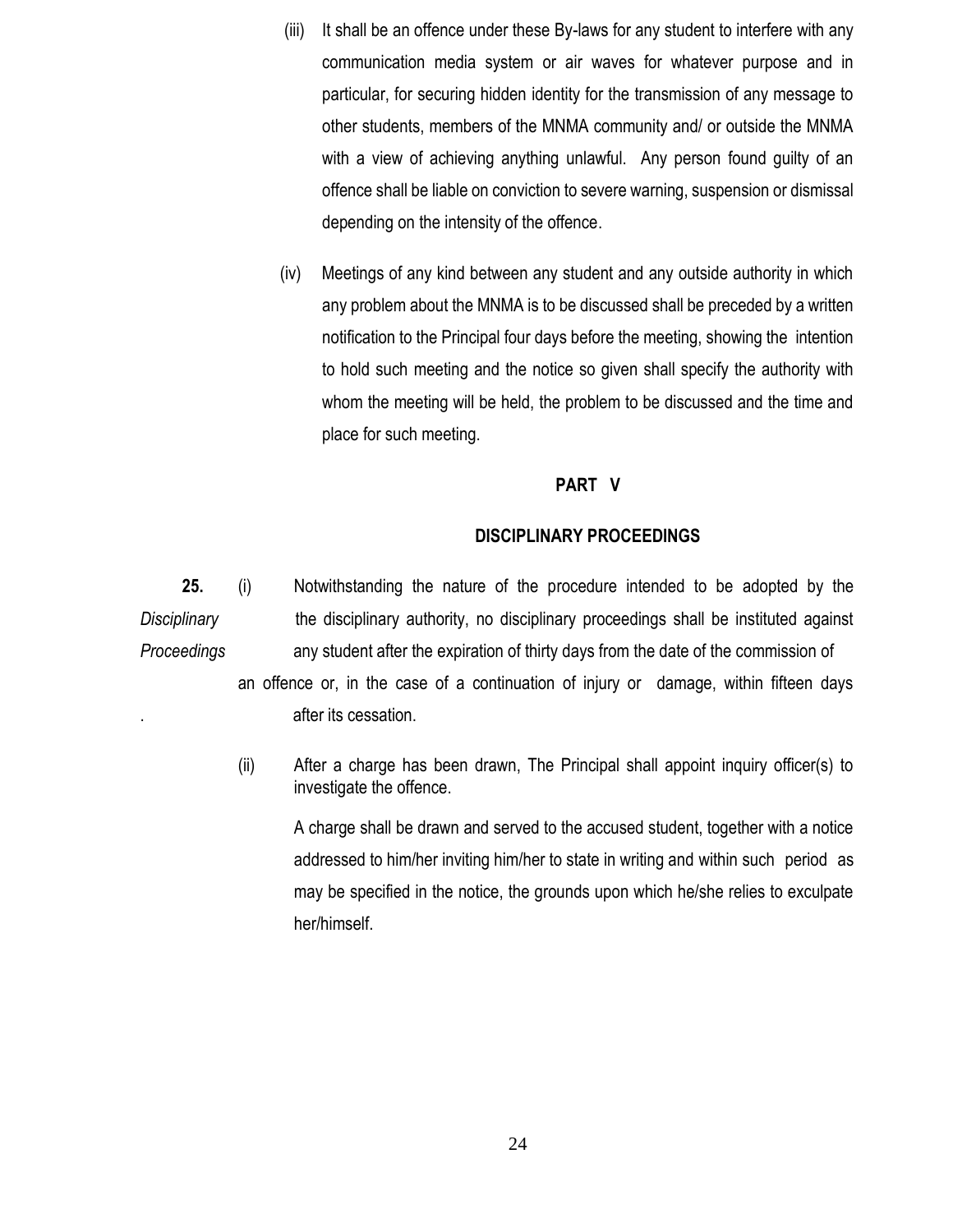- (iii) It shall be an offence under these By-laws for any student to interfere with any communication media system or air waves for whatever purpose and in particular, for securing hidden identity for the transmission of any message to other students, members of the MNMA community and/ or outside the MNMA with a view of achieving anything unlawful. Any person found guilty of an offence shall be liable on conviction to severe warning, suspension or dismissal depending on the intensity of the offence.
- (iv) Meetings of any kind between any student and any outside authority in which any problem about the MNMA is to be discussed shall be preceded by a written notification to the Principal four days before the meeting, showing the intention to hold such meeting and the notice so given shall specify the authority with whom the meeting will be held, the problem to be discussed and the time and place for such meeting.

### **PART V**

#### **DISCIPLINARY PROCEEDINGS**

**25.** (i) Notwithstanding the nature of the procedure intended to be adopted by the *Disciplinary* the disciplinary authority, no disciplinary proceedings shall be instituted against *Proceedings* any student after the expiration of thirty days from the date of the commission of an offence or, in the case of a continuation of injury or damage, within fifteen days . after its cessation.

> (ii) After a charge has been drawn, The Principal shall appoint inquiry officer(s) to investigate the offence.

 A charge shall be drawn and served to the accused student, together with a notice addressed to him/her inviting him/her to state in writing and within such period as may be specified in the notice, the grounds upon which he/she relies to exculpate her/himself.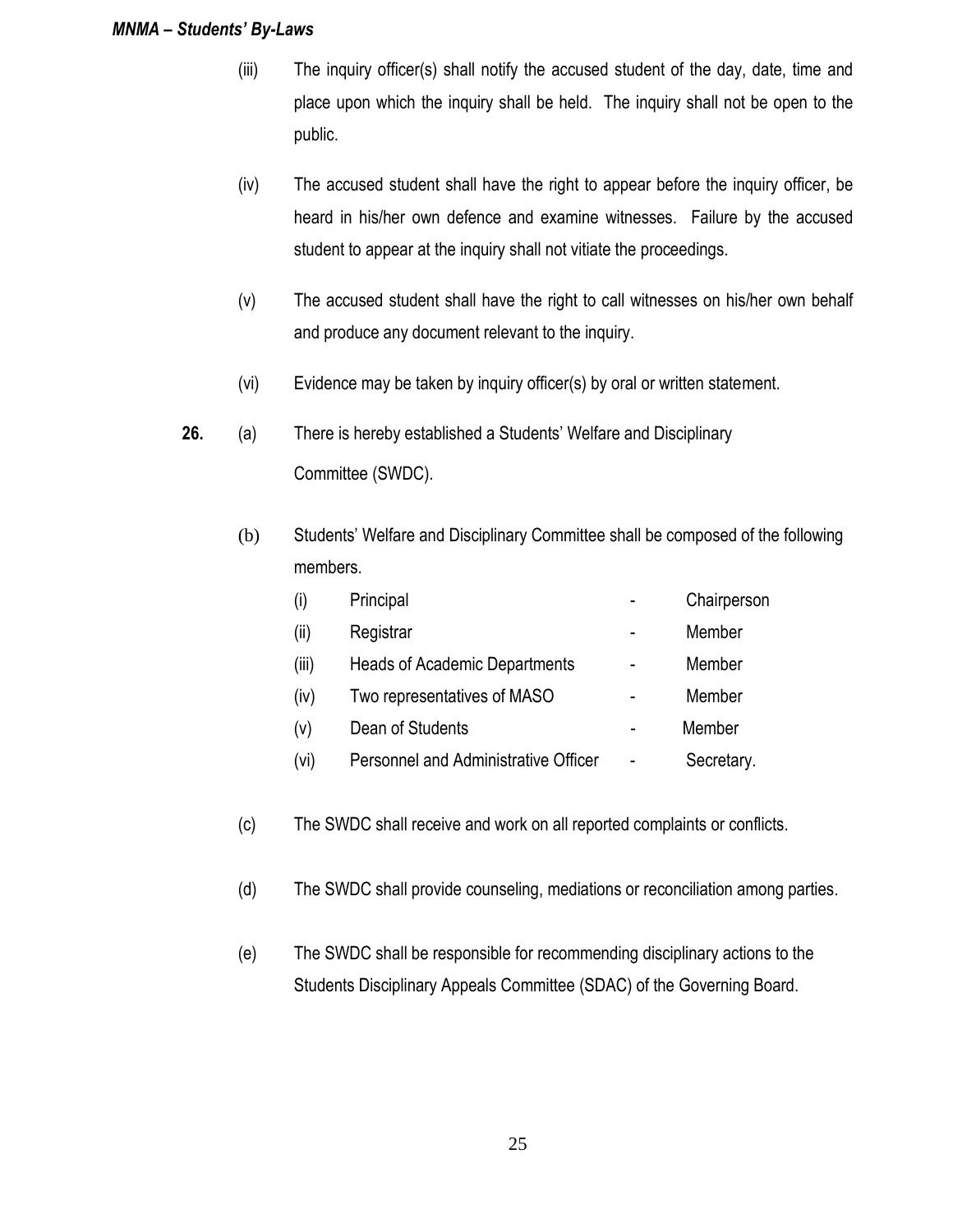- (iii) The inquiry officer(s) shall notify the accused student of the day, date, time and place upon which the inquiry shall be held. The inquiry shall not be open to the public.
- (iv) The accused student shall have the right to appear before the inquiry officer, be heard in his/her own defence and examine witnesses. Failure by the accused student to appear at the inquiry shall not vitiate the proceedings.
- (v) The accused student shall have the right to call witnesses on his/her own behalf and produce any document relevant to the inquiry.
- (vi) Evidence may be taken by inquiry officer(s) by oral or written statement.
- **26.** (a) There is hereby established a Students' Welfare and Disciplinary Committee (SWDC).
	- (b) Students' Welfare and Disciplinary Committee shall be composed of the following members.

| (i)   | Principal                                   | Chairperson |
|-------|---------------------------------------------|-------------|
| (iii) | Registrar                                   | Member      |
| (iii) | <b>Heads of Academic Departments</b>        | Member      |
| (iv)  | Two representatives of MASO                 | Member      |
| (v)   | Dean of Students                            | Member      |
| (vi)  | <b>Personnel and Administrative Officer</b> | Secretary.  |
|       |                                             |             |

- (c) The SWDC shall receive and work on all reported complaints or conflicts.
- (d) The SWDC shall provide counseling, mediations or reconciliation among parties.
- (e) The SWDC shall be responsible for recommending disciplinary actions to the Students Disciplinary Appeals Committee (SDAC) of the Governing Board.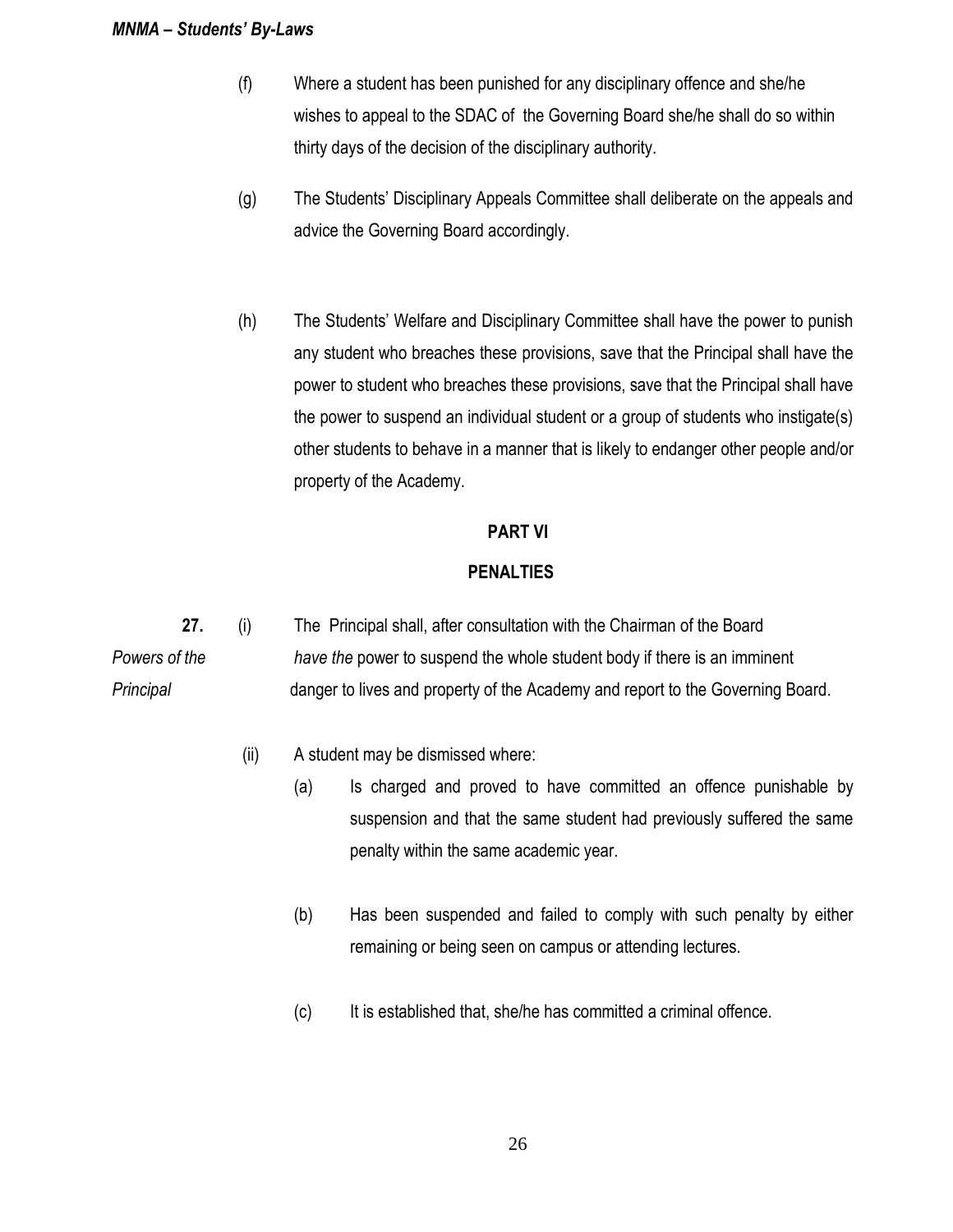- (f) Where a student has been punished for any disciplinary offence and she/he wishes to appeal to the SDAC of the Governing Board she/he shall do so within thirty days of the decision of the disciplinary authority.
- (g) The Students' Disciplinary Appeals Committee shall deliberate on the appeals and advice the Governing Board accordingly.
- (h) The Students' Welfare and Disciplinary Committee shall have the power to punish any student who breaches these provisions, save that the Principal shall have the power to student who breaches these provisions, save that the Principal shall have the power to suspend an individual student or a group of students who instigate(s) other students to behave in a manner that is likely to endanger other people and/or property of the Academy.

### **PART VI**

### **PENALTIES**

**27.** (i) The Principal shall, after consultation with the Chairman of the Board *Powers of the have the* power to suspend the whole student body if there is an imminent *Principal* danger to lives and property of the Academy and report to the Governing Board*.*

- (ii) A student may be dismissed where:
	- (a) Is charged and proved to have committed an offence punishable by suspension and that the same student had previously suffered the same penalty within the same academic year.
	- (b) Has been suspended and failed to comply with such penalty by either remaining or being seen on campus or attending lectures.
	- (c) It is established that, she/he has committed a criminal offence.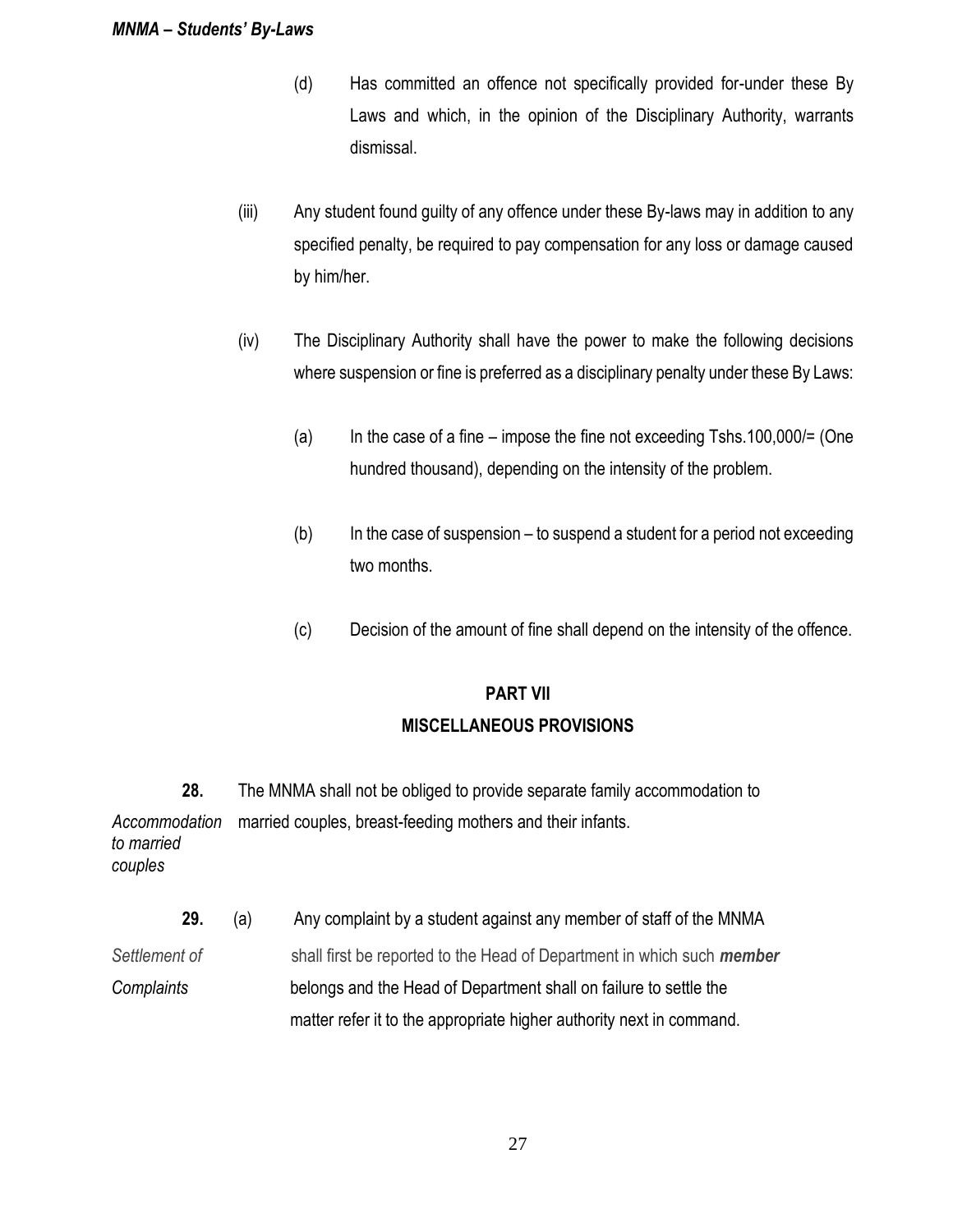- (d) Has committed an offence not specifically provided for-under these By Laws and which, in the opinion of the Disciplinary Authority, warrants dismissal.
- (iii) Any student found guilty of any offence under these By-laws may in addition to any specified penalty, be required to pay compensation for any loss or damage caused by him/her.
- (iv) The Disciplinary Authority shall have the power to make the following decisions where suspension or fine is preferred as a disciplinary penalty under these By Laws:
	- (a) In the case of a fine impose the fine not exceeding  $Tshs.100,000/=$  (One hundred thousand), depending on the intensity of the problem.
	- $(b)$  In the case of suspension to suspend a student for a period not exceeding two months.
	- (c) Decision of the amount of fine shall depend on the intensity of the offence.

## **PART VII**

## **MISCELLANEOUS PROVISIONS**

- **28.** The MNMA shall not be obliged to provide separate family accommodation to *Accommodation* married couples, breast-feeding mothers and their infants. *to married couples*
	- **29.** (a) Any complaint by a student against any member of staff of the MNMA
- *Settlement of* shall first be reported to the Head of Department in which such *member Complaints* belongs and the Head of Department shall on failure to settle the matter refer it to the appropriate higher authority next in command.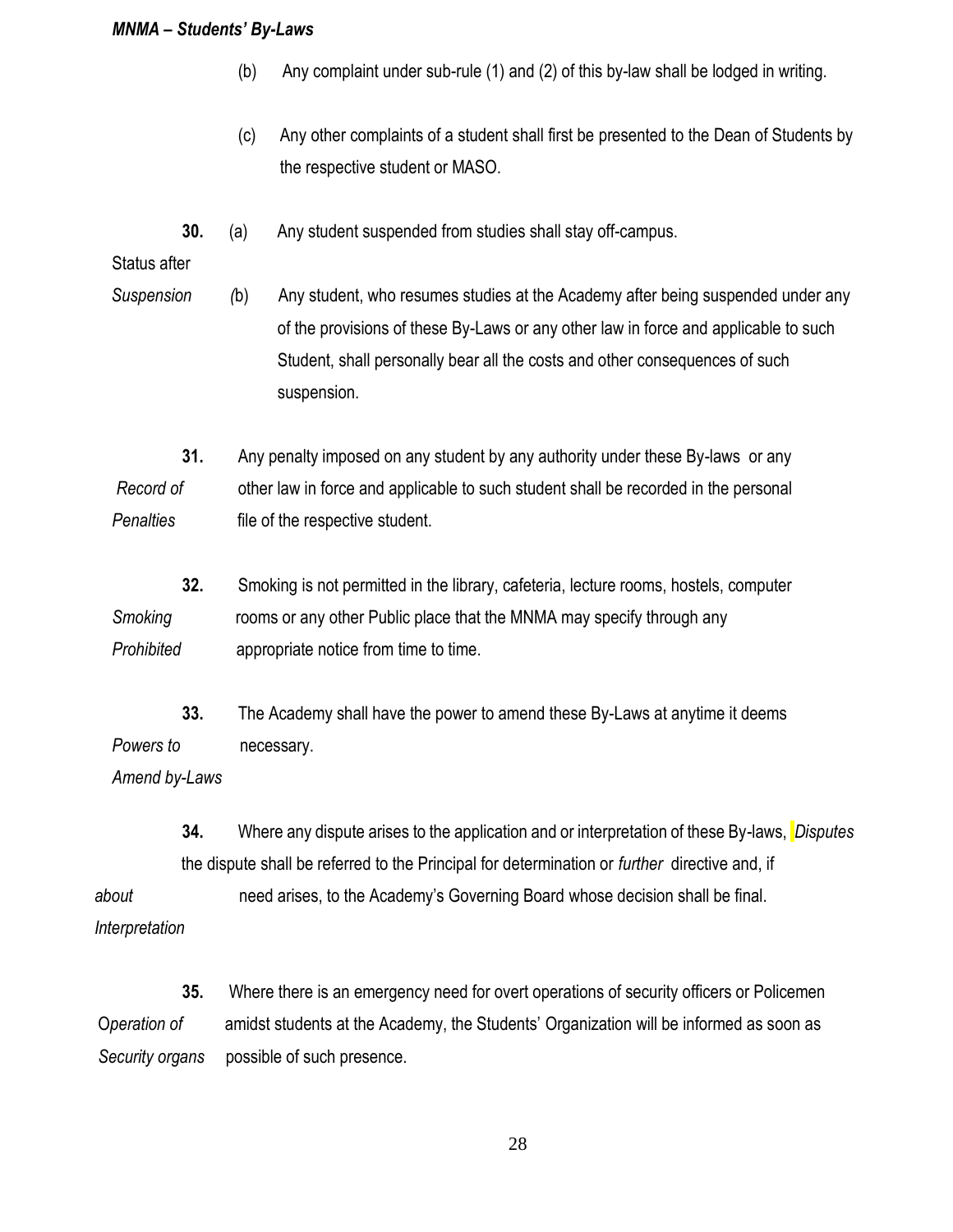- (b) Any complaint under sub-rule (1) and (2) of this by-law shall be lodged in writing.
- (c) Any other complaints of a student shall first be presented to the Dean of Students by the respective student or MASO.
- **30.** (a) Any student suspended from studies shall stay off-campus.

Status after

*Suspension (*b) Any student, who resumes studies at the Academy after being suspended under any of the provisions of these By-Laws or any other law in force and applicable to such Student, shall personally bear all the costs and other consequences of such suspension.

**31.** Any penalty imposed on any student by any authority under these By-laws or any *Record of* other law in force and applicable to such student shall be recorded in the personal *Penalties* file of the respective student.

- **32.** Smoking is not permitted in the library, cafeteria, lecture rooms, hostels, computer *Smoking* rooms or any other Public place that the MNMA may specify through any *Prohibited* appropriate notice from time to time.
- **33.** The Academy shall have the power to amend these By-Laws at anytime it deems *Powers to* necessary.

*Amend by-Laws*

**34.** Where any dispute arises to the application and or interpretation of these By-laws, *Disputes* the dispute shall be referred to the Principal for determination or *further* directive and, if

 *about* need arises, to the Academy's Governing Board whose decision shall be final.  *Interpretation*

**35.** Where there is an emergency need for overt operations of security officers or Policemen O*peration of* amidst students at the Academy, the Students' Organization will be informed as soon as *Security organs* possible of such presence.

28